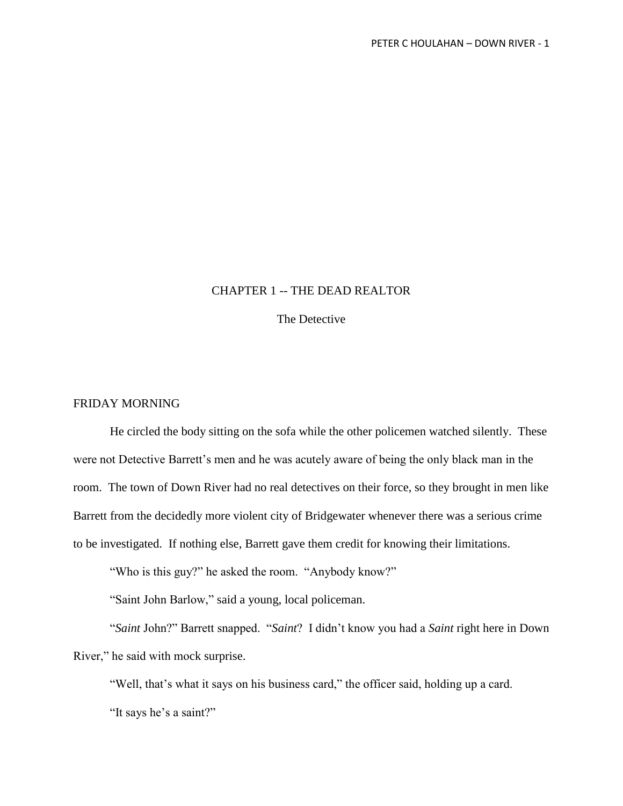## CHAPTER 1 -- THE DEAD REALTOR

The Detective

## FRIDAY MORNING

He circled the body sitting on the sofa while the other policemen watched silently. These were not Detective Barrett's men and he was acutely aware of being the only black man in the room. The town of Down River had no real detectives on their force, so they brought in men like Barrett from the decidedly more violent city of Bridgewater whenever there was a serious crime to be investigated. If nothing else, Barrett gave them credit for knowing their limitations.

"Who is this guy?" he asked the room. "Anybody know?"

"Saint John Barlow," said a young, local policeman.

"*Saint* John?" Barrett snapped. "*Saint*? I didn't know you had a *Saint* right here in Down River," he said with mock surprise.

"Well, that's what it says on his business card," the officer said, holding up a card. "It says he's a saint?"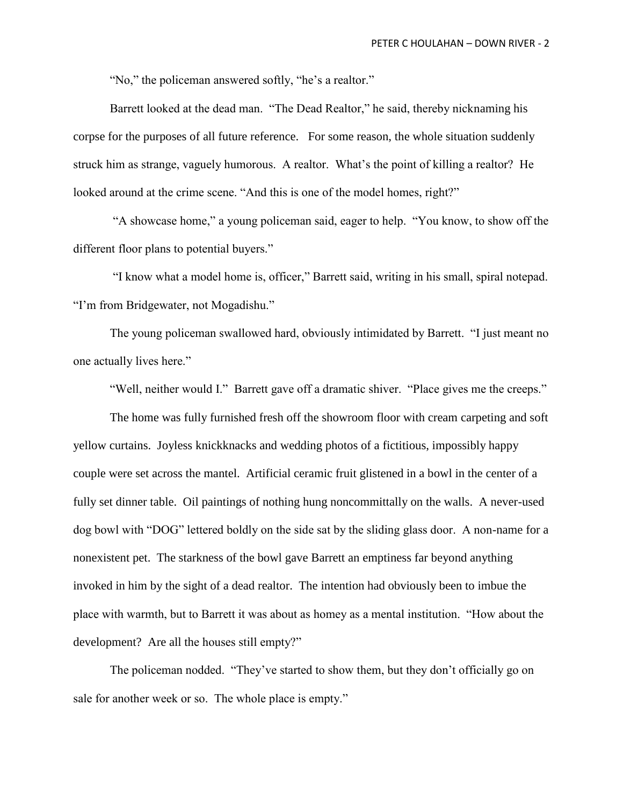"No," the policeman answered softly, "he's a realtor."

Barrett looked at the dead man. "The Dead Realtor," he said, thereby nicknaming his corpse for the purposes of all future reference. For some reason, the whole situation suddenly struck him as strange, vaguely humorous. A realtor. What's the point of killing a realtor? He looked around at the crime scene. "And this is one of the model homes, right?"

"A showcase home," a young policeman said, eager to help. "You know, to show off the different floor plans to potential buyers."

"I know what a model home is, officer," Barrett said, writing in his small, spiral notepad. "I'm from Bridgewater, not Mogadishu."

The young policeman swallowed hard, obviously intimidated by Barrett. "I just meant no one actually lives here."

"Well, neither would I." Barrett gave off a dramatic shiver. "Place gives me the creeps."

The home was fully furnished fresh off the showroom floor with cream carpeting and soft yellow curtains. Joyless knickknacks and wedding photos of a fictitious, impossibly happy couple were set across the mantel. Artificial ceramic fruit glistened in a bowl in the center of a fully set dinner table. Oil paintings of nothing hung noncommittally on the walls. A never-used dog bowl with "DOG" lettered boldly on the side sat by the sliding glass door. A non-name for a nonexistent pet. The starkness of the bowl gave Barrett an emptiness far beyond anything invoked in him by the sight of a dead realtor. The intention had obviously been to imbue the place with warmth, but to Barrett it was about as homey as a mental institution. "How about the development? Are all the houses still empty?"

The policeman nodded. "They've started to show them, but they don't officially go on sale for another week or so. The whole place is empty."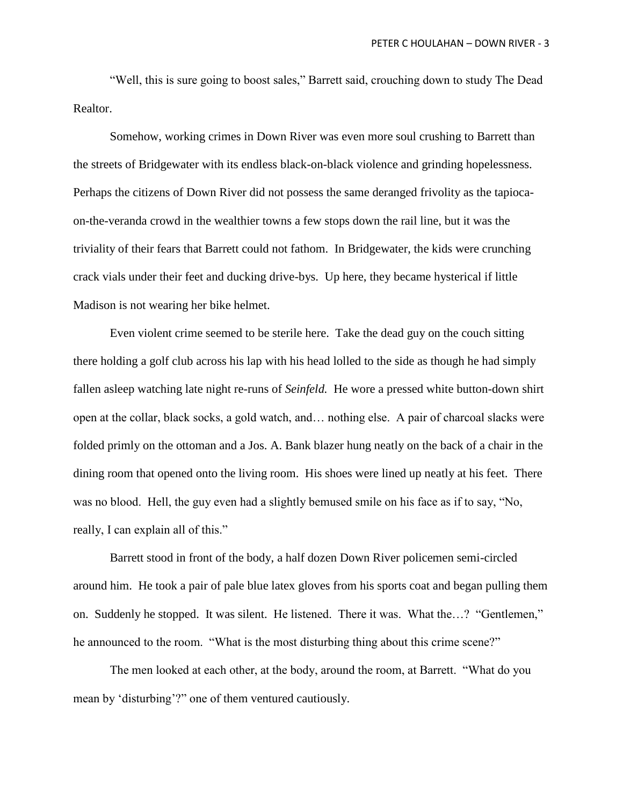"Well, this is sure going to boost sales," Barrett said, crouching down to study The Dead Realtor.

Somehow, working crimes in Down River was even more soul crushing to Barrett than the streets of Bridgewater with its endless black-on-black violence and grinding hopelessness. Perhaps the citizens of Down River did not possess the same deranged frivolity as the tapiocaon-the-veranda crowd in the wealthier towns a few stops down the rail line, but it was the triviality of their fears that Barrett could not fathom. In Bridgewater, the kids were crunching crack vials under their feet and ducking drive-bys. Up here, they became hysterical if little Madison is not wearing her bike helmet.

Even violent crime seemed to be sterile here. Take the dead guy on the couch sitting there holding a golf club across his lap with his head lolled to the side as though he had simply fallen asleep watching late night re-runs of *Seinfeld.* He wore a pressed white button-down shirt open at the collar, black socks, a gold watch, and… nothing else. A pair of charcoal slacks were folded primly on the ottoman and a Jos. A. Bank blazer hung neatly on the back of a chair in the dining room that opened onto the living room. His shoes were lined up neatly at his feet. There was no blood. Hell, the guy even had a slightly bemused smile on his face as if to say, "No, really, I can explain all of this."

Barrett stood in front of the body, a half dozen Down River policemen semi-circled around him. He took a pair of pale blue latex gloves from his sports coat and began pulling them on. Suddenly he stopped. It was silent. He listened. There it was. What the…? "Gentlemen," he announced to the room. "What is the most disturbing thing about this crime scene?"

The men looked at each other, at the body, around the room, at Barrett. "What do you mean by 'disturbing'?" one of them ventured cautiously.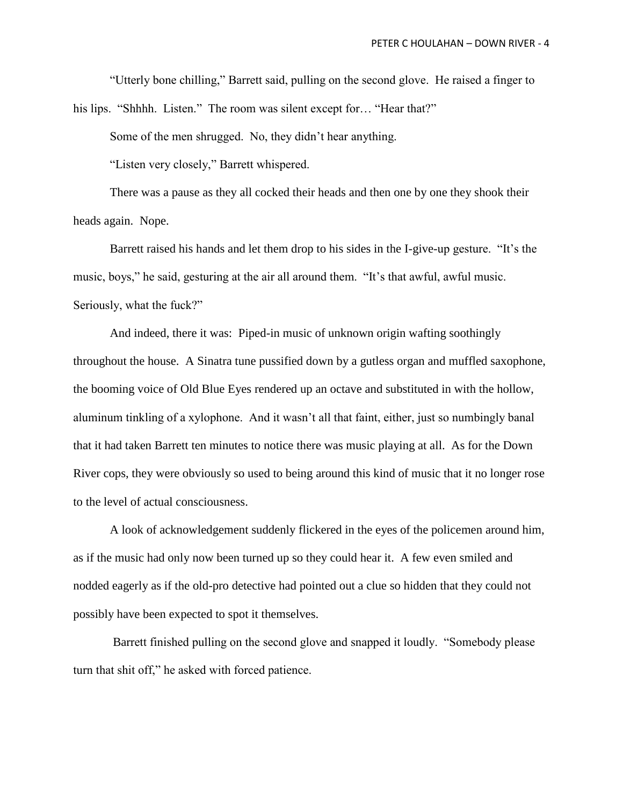"Utterly bone chilling," Barrett said, pulling on the second glove. He raised a finger to

his lips. "Shhhh. Listen." The room was silent except for... "Hear that?"

Some of the men shrugged. No, they didn't hear anything.

"Listen very closely," Barrett whispered.

There was a pause as they all cocked their heads and then one by one they shook their heads again. Nope.

Barrett raised his hands and let them drop to his sides in the I-give-up gesture. "It's the music, boys," he said, gesturing at the air all around them. "It's that awful, awful music. Seriously, what the fuck?"

And indeed, there it was: Piped-in music of unknown origin wafting soothingly throughout the house. A Sinatra tune pussified down by a gutless organ and muffled saxophone, the booming voice of Old Blue Eyes rendered up an octave and substituted in with the hollow, aluminum tinkling of a xylophone. And it wasn't all that faint, either, just so numbingly banal that it had taken Barrett ten minutes to notice there was music playing at all. As for the Down River cops, they were obviously so used to being around this kind of music that it no longer rose to the level of actual consciousness.

A look of acknowledgement suddenly flickered in the eyes of the policemen around him, as if the music had only now been turned up so they could hear it. A few even smiled and nodded eagerly as if the old-pro detective had pointed out a clue so hidden that they could not possibly have been expected to spot it themselves.

Barrett finished pulling on the second glove and snapped it loudly. "Somebody please turn that shit off," he asked with forced patience.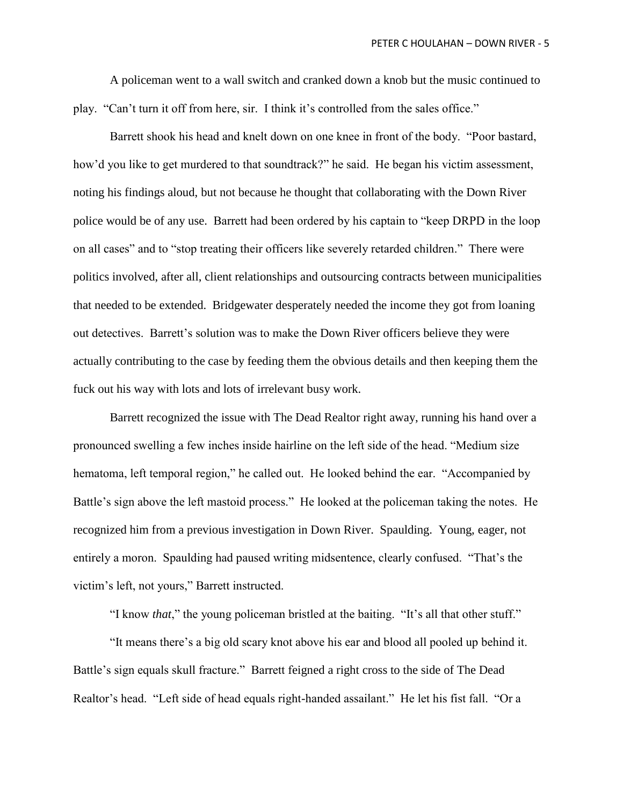A policeman went to a wall switch and cranked down a knob but the music continued to play. "Can't turn it off from here, sir. I think it's controlled from the sales office."

Barrett shook his head and knelt down on one knee in front of the body. "Poor bastard, how'd you like to get murdered to that soundtrack?" he said. He began his victim assessment, noting his findings aloud, but not because he thought that collaborating with the Down River police would be of any use. Barrett had been ordered by his captain to "keep DRPD in the loop on all cases" and to "stop treating their officers like severely retarded children." There were politics involved, after all, client relationships and outsourcing contracts between municipalities that needed to be extended. Bridgewater desperately needed the income they got from loaning out detectives. Barrett's solution was to make the Down River officers believe they were actually contributing to the case by feeding them the obvious details and then keeping them the fuck out his way with lots and lots of irrelevant busy work.

Barrett recognized the issue with The Dead Realtor right away, running his hand over a pronounced swelling a few inches inside hairline on the left side of the head. "Medium size hematoma, left temporal region," he called out. He looked behind the ear. "Accompanied by Battle's sign above the left mastoid process." He looked at the policeman taking the notes. He recognized him from a previous investigation in Down River. Spaulding. Young, eager, not entirely a moron. Spaulding had paused writing midsentence, clearly confused. "That's the victim's left, not yours," Barrett instructed.

"I know *that*," the young policeman bristled at the baiting. "It's all that other stuff."

"It means there's a big old scary knot above his ear and blood all pooled up behind it. Battle's sign equals skull fracture." Barrett feigned a right cross to the side of The Dead Realtor's head. "Left side of head equals right-handed assailant." He let his fist fall. "Or a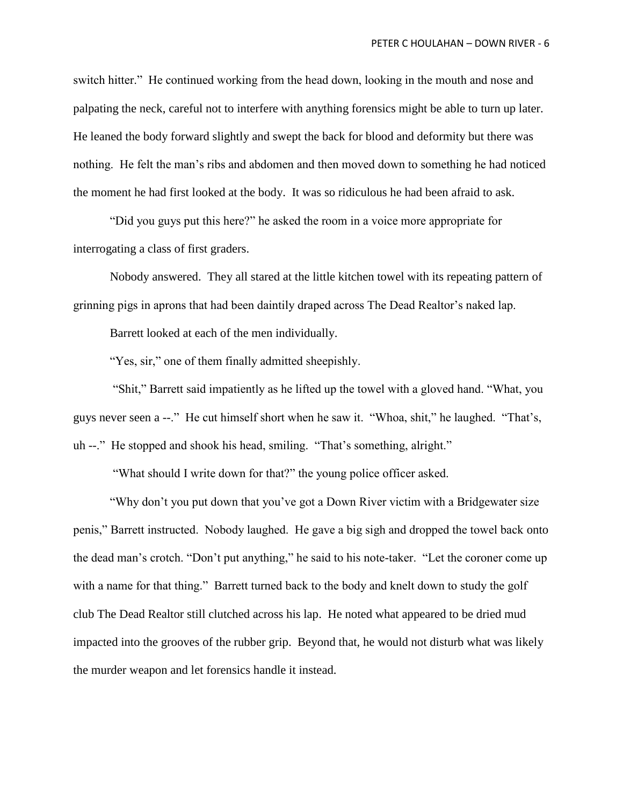switch hitter." He continued working from the head down, looking in the mouth and nose and palpating the neck, careful not to interfere with anything forensics might be able to turn up later. He leaned the body forward slightly and swept the back for blood and deformity but there was nothing. He felt the man's ribs and abdomen and then moved down to something he had noticed the moment he had first looked at the body. It was so ridiculous he had been afraid to ask.

"Did you guys put this here?" he asked the room in a voice more appropriate for interrogating a class of first graders.

Nobody answered. They all stared at the little kitchen towel with its repeating pattern of grinning pigs in aprons that had been daintily draped across The Dead Realtor's naked lap.

Barrett looked at each of the men individually.

"Yes, sir," one of them finally admitted sheepishly.

"Shit," Barrett said impatiently as he lifted up the towel with a gloved hand. "What, you guys never seen a --." He cut himself short when he saw it. "Whoa, shit," he laughed. "That's, uh --." He stopped and shook his head, smiling. "That's something, alright."

"What should I write down for that?" the young police officer asked.

"Why don't you put down that you've got a Down River victim with a Bridgewater size penis," Barrett instructed. Nobody laughed. He gave a big sigh and dropped the towel back onto the dead man's crotch. "Don't put anything," he said to his note-taker. "Let the coroner come up with a name for that thing." Barrett turned back to the body and knelt down to study the golf club The Dead Realtor still clutched across his lap. He noted what appeared to be dried mud impacted into the grooves of the rubber grip. Beyond that, he would not disturb what was likely the murder weapon and let forensics handle it instead.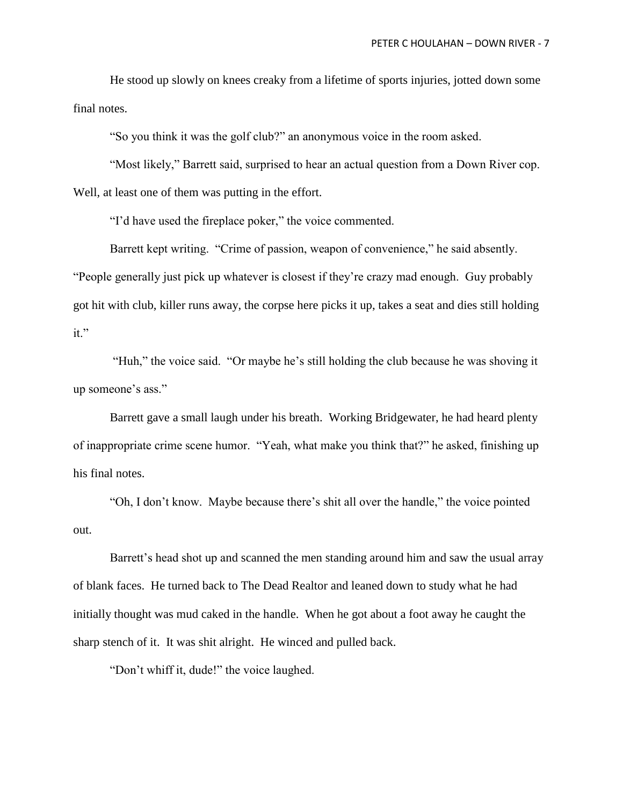He stood up slowly on knees creaky from a lifetime of sports injuries, jotted down some final notes.

"So you think it was the golf club?" an anonymous voice in the room asked.

"Most likely," Barrett said, surprised to hear an actual question from a Down River cop. Well, at least one of them was putting in the effort.

"I'd have used the fireplace poker," the voice commented.

Barrett kept writing. "Crime of passion, weapon of convenience," he said absently. "People generally just pick up whatever is closest if they're crazy mad enough. Guy probably got hit with club, killer runs away, the corpse here picks it up, takes a seat and dies still holding it."

"Huh," the voice said. "Or maybe he's still holding the club because he was shoving it up someone's ass."

Barrett gave a small laugh under his breath. Working Bridgewater, he had heard plenty of inappropriate crime scene humor. "Yeah, what make you think that?" he asked, finishing up his final notes.

"Oh, I don't know. Maybe because there's shit all over the handle," the voice pointed out.

Barrett's head shot up and scanned the men standing around him and saw the usual array of blank faces. He turned back to The Dead Realtor and leaned down to study what he had initially thought was mud caked in the handle. When he got about a foot away he caught the sharp stench of it. It was shit alright. He winced and pulled back.

"Don't whiff it, dude!" the voice laughed.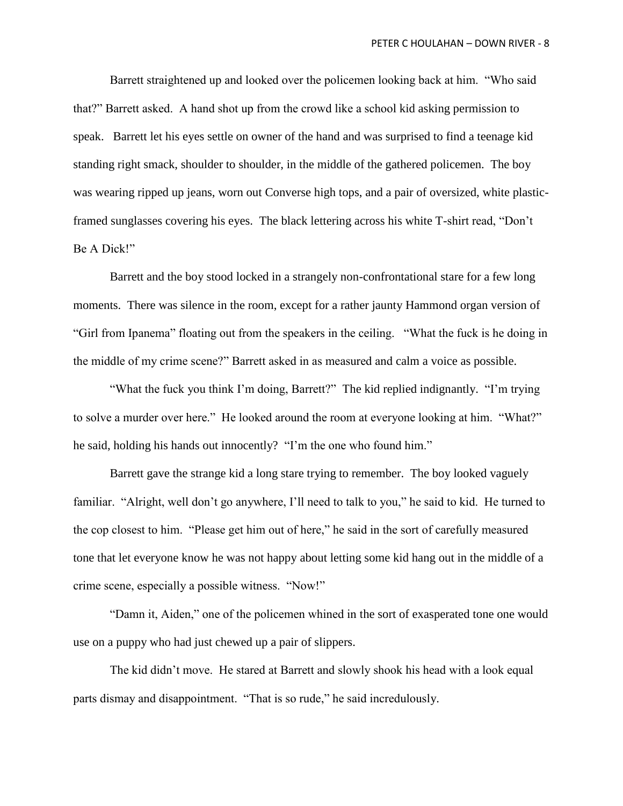Barrett straightened up and looked over the policemen looking back at him. "Who said that?" Barrett asked. A hand shot up from the crowd like a school kid asking permission to speak. Barrett let his eyes settle on owner of the hand and was surprised to find a teenage kid standing right smack, shoulder to shoulder, in the middle of the gathered policemen. The boy was wearing ripped up jeans, worn out Converse high tops, and a pair of oversized, white plasticframed sunglasses covering his eyes. The black lettering across his white T-shirt read, "Don't Be A Dick!"

Barrett and the boy stood locked in a strangely non-confrontational stare for a few long moments. There was silence in the room, except for a rather jaunty Hammond organ version of "Girl from Ipanema" floating out from the speakers in the ceiling. "What the fuck is he doing in the middle of my crime scene?" Barrett asked in as measured and calm a voice as possible.

"What the fuck you think I'm doing, Barrett?" The kid replied indignantly. "I'm trying to solve a murder over here." He looked around the room at everyone looking at him. "What?" he said, holding his hands out innocently? "I'm the one who found him."

Barrett gave the strange kid a long stare trying to remember. The boy looked vaguely familiar. "Alright, well don't go anywhere, I'll need to talk to you," he said to kid. He turned to the cop closest to him. "Please get him out of here," he said in the sort of carefully measured tone that let everyone know he was not happy about letting some kid hang out in the middle of a crime scene, especially a possible witness. "Now!"

"Damn it, Aiden," one of the policemen whined in the sort of exasperated tone one would use on a puppy who had just chewed up a pair of slippers.

The kid didn't move. He stared at Barrett and slowly shook his head with a look equal parts dismay and disappointment. "That is so rude," he said incredulously.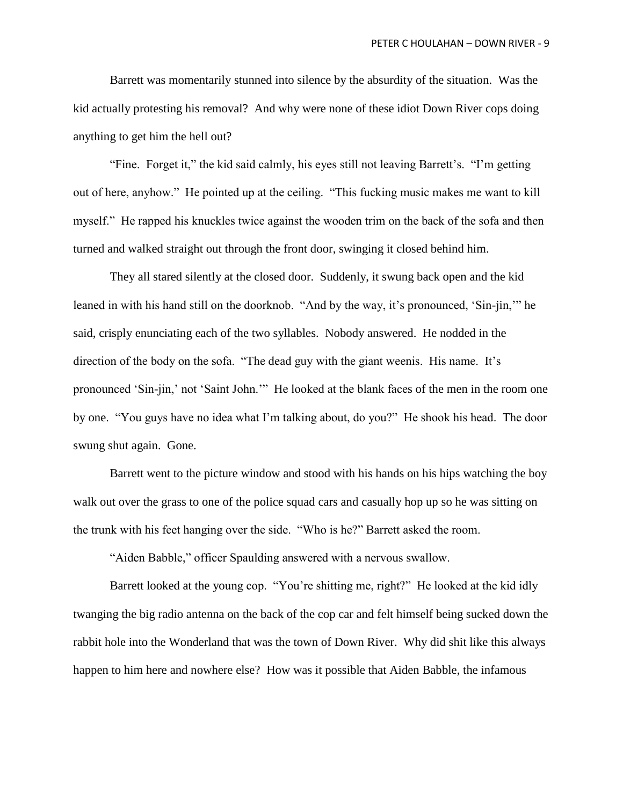Barrett was momentarily stunned into silence by the absurdity of the situation. Was the kid actually protesting his removal? And why were none of these idiot Down River cops doing anything to get him the hell out?

"Fine. Forget it," the kid said calmly, his eyes still not leaving Barrett's. "I'm getting out of here, anyhow." He pointed up at the ceiling. "This fucking music makes me want to kill myself." He rapped his knuckles twice against the wooden trim on the back of the sofa and then turned and walked straight out through the front door, swinging it closed behind him.

They all stared silently at the closed door. Suddenly, it swung back open and the kid leaned in with his hand still on the doorknob. "And by the way, it's pronounced, 'Sin-jin,'" he said, crisply enunciating each of the two syllables. Nobody answered. He nodded in the direction of the body on the sofa. "The dead guy with the giant weenis. His name. It's pronounced 'Sin-jin,' not 'Saint John.'" He looked at the blank faces of the men in the room one by one. "You guys have no idea what I'm talking about, do you?" He shook his head. The door swung shut again. Gone.

Barrett went to the picture window and stood with his hands on his hips watching the boy walk out over the grass to one of the police squad cars and casually hop up so he was sitting on the trunk with his feet hanging over the side. "Who is he?" Barrett asked the room.

"Aiden Babble," officer Spaulding answered with a nervous swallow.

Barrett looked at the young cop. "You're shitting me, right?" He looked at the kid idly twanging the big radio antenna on the back of the cop car and felt himself being sucked down the rabbit hole into the Wonderland that was the town of Down River. Why did shit like this always happen to him here and nowhere else? How was it possible that Aiden Babble, the infamous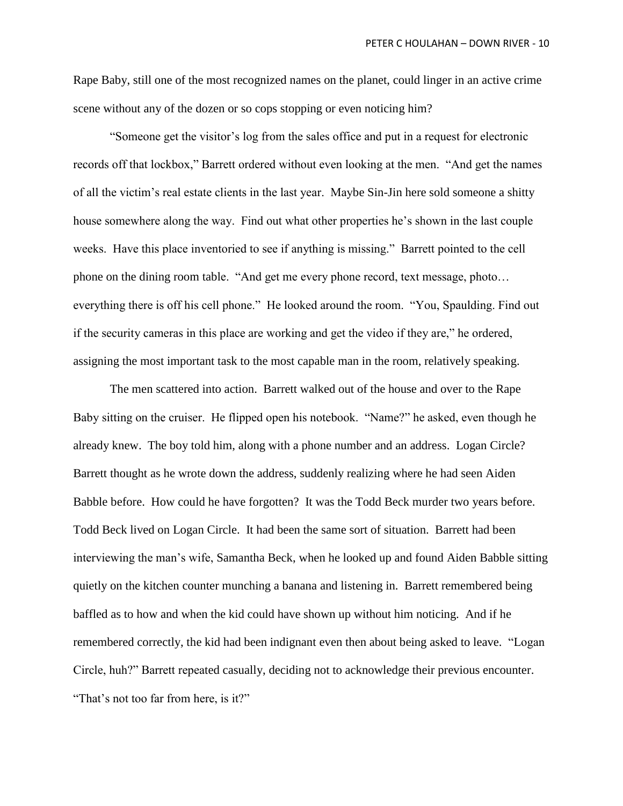Rape Baby, still one of the most recognized names on the planet, could linger in an active crime scene without any of the dozen or so cops stopping or even noticing him?

"Someone get the visitor's log from the sales office and put in a request for electronic records off that lockbox," Barrett ordered without even looking at the men. "And get the names of all the victim's real estate clients in the last year. Maybe Sin-Jin here sold someone a shitty house somewhere along the way. Find out what other properties he's shown in the last couple weeks. Have this place inventoried to see if anything is missing." Barrett pointed to the cell phone on the dining room table. "And get me every phone record, text message, photo… everything there is off his cell phone." He looked around the room. "You, Spaulding. Find out if the security cameras in this place are working and get the video if they are," he ordered, assigning the most important task to the most capable man in the room, relatively speaking.

The men scattered into action. Barrett walked out of the house and over to the Rape Baby sitting on the cruiser. He flipped open his notebook. "Name?" he asked, even though he already knew. The boy told him, along with a phone number and an address. Logan Circle? Barrett thought as he wrote down the address, suddenly realizing where he had seen Aiden Babble before. How could he have forgotten? It was the Todd Beck murder two years before. Todd Beck lived on Logan Circle. It had been the same sort of situation. Barrett had been interviewing the man's wife, Samantha Beck, when he looked up and found Aiden Babble sitting quietly on the kitchen counter munching a banana and listening in. Barrett remembered being baffled as to how and when the kid could have shown up without him noticing. And if he remembered correctly, the kid had been indignant even then about being asked to leave. "Logan Circle, huh?" Barrett repeated casually, deciding not to acknowledge their previous encounter. "That's not too far from here, is it?"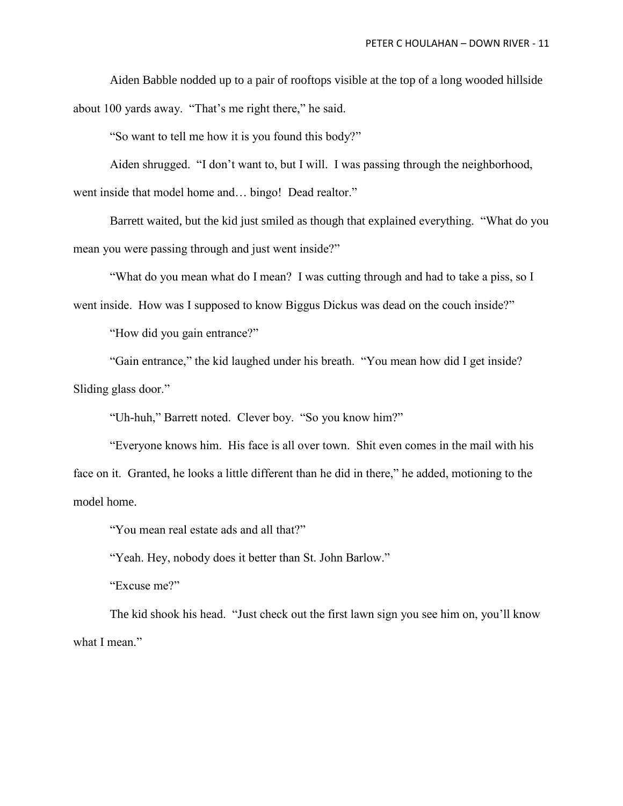Aiden Babble nodded up to a pair of rooftops visible at the top of a long wooded hillside about 100 yards away. "That's me right there," he said.

"So want to tell me how it is you found this body?"

Aiden shrugged. "I don't want to, but I will. I was passing through the neighborhood, went inside that model home and… bingo! Dead realtor."

Barrett waited, but the kid just smiled as though that explained everything. "What do you mean you were passing through and just went inside?"

"What do you mean what do I mean? I was cutting through and had to take a piss, so I went inside. How was I supposed to know Biggus Dickus was dead on the couch inside?"

"How did you gain entrance?"

"Gain entrance," the kid laughed under his breath. "You mean how did I get inside? Sliding glass door."

"Uh-huh," Barrett noted. Clever boy. "So you know him?"

"Everyone knows him. His face is all over town. Shit even comes in the mail with his face on it. Granted, he looks a little different than he did in there," he added, motioning to the model home.

"You mean real estate ads and all that?"

"Yeah. Hey, nobody does it better than St. John Barlow."

"Excuse me?"

The kid shook his head. "Just check out the first lawn sign you see him on, you'll know what I mean."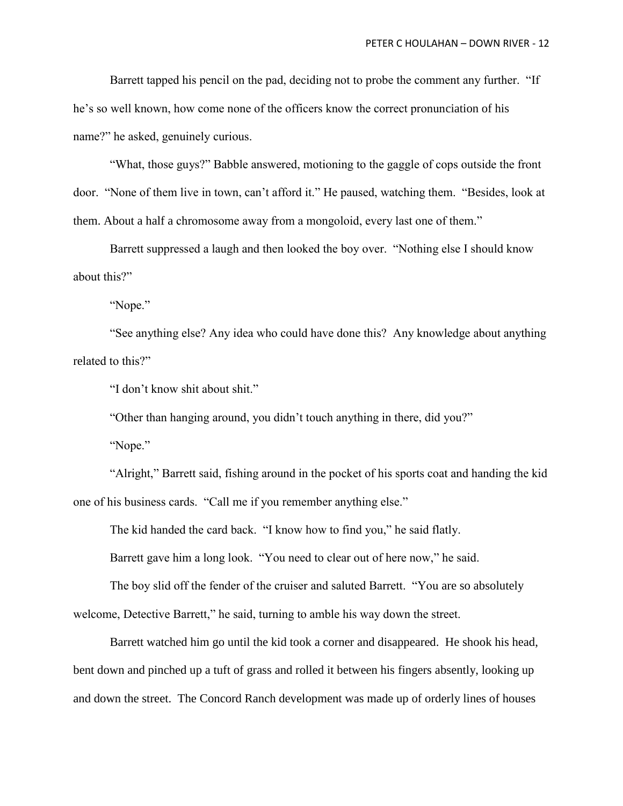Barrett tapped his pencil on the pad, deciding not to probe the comment any further. "If he's so well known, how come none of the officers know the correct pronunciation of his name?" he asked, genuinely curious.

"What, those guys?" Babble answered, motioning to the gaggle of cops outside the front door. "None of them live in town, can't afford it." He paused, watching them. "Besides, look at them. About a half a chromosome away from a mongoloid, every last one of them."

Barrett suppressed a laugh and then looked the boy over. "Nothing else I should know about this?"

"Nope."

"See anything else? Any idea who could have done this? Any knowledge about anything related to this?"

"I don't know shit about shit."

"Other than hanging around, you didn't touch anything in there, did you?"

"Nope."

"Alright," Barrett said, fishing around in the pocket of his sports coat and handing the kid one of his business cards. "Call me if you remember anything else."

The kid handed the card back. "I know how to find you," he said flatly.

Barrett gave him a long look. "You need to clear out of here now," he said.

The boy slid off the fender of the cruiser and saluted Barrett. "You are so absolutely welcome, Detective Barrett," he said, turning to amble his way down the street.

Barrett watched him go until the kid took a corner and disappeared. He shook his head, bent down and pinched up a tuft of grass and rolled it between his fingers absently, looking up and down the street. The Concord Ranch development was made up of orderly lines of houses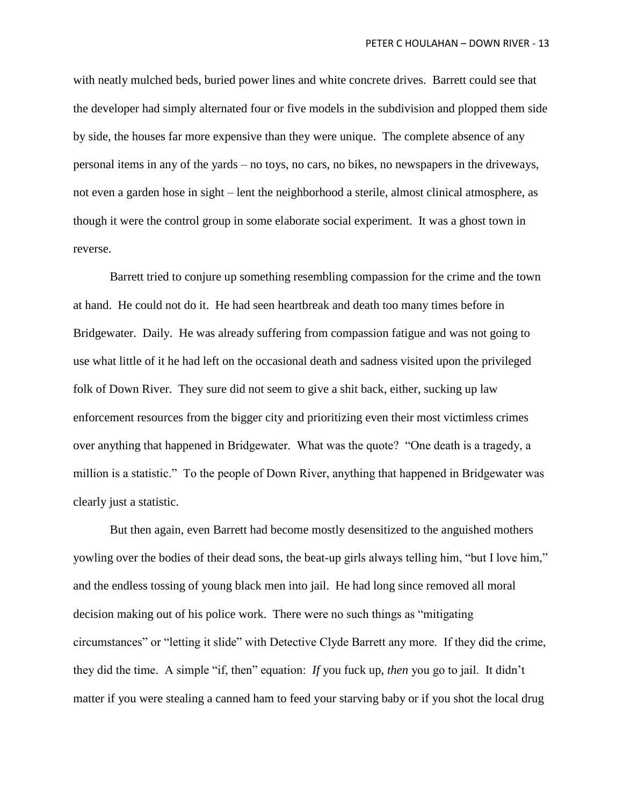with neatly mulched beds, buried power lines and white concrete drives. Barrett could see that the developer had simply alternated four or five models in the subdivision and plopped them side by side, the houses far more expensive than they were unique. The complete absence of any personal items in any of the yards – no toys, no cars, no bikes, no newspapers in the driveways, not even a garden hose in sight – lent the neighborhood a sterile, almost clinical atmosphere, as though it were the control group in some elaborate social experiment. It was a ghost town in reverse.

Barrett tried to conjure up something resembling compassion for the crime and the town at hand. He could not do it. He had seen heartbreak and death too many times before in Bridgewater. Daily. He was already suffering from compassion fatigue and was not going to use what little of it he had left on the occasional death and sadness visited upon the privileged folk of Down River. They sure did not seem to give a shit back, either, sucking up law enforcement resources from the bigger city and prioritizing even their most victimless crimes over anything that happened in Bridgewater. What was the quote? "One death is a tragedy, a million is a statistic." To the people of Down River, anything that happened in Bridgewater was clearly just a statistic.

But then again, even Barrett had become mostly desensitized to the anguished mothers yowling over the bodies of their dead sons, the beat-up girls always telling him, "but I love him," and the endless tossing of young black men into jail. He had long since removed all moral decision making out of his police work. There were no such things as "mitigating circumstances" or "letting it slide" with Detective Clyde Barrett any more. If they did the crime, they did the time. A simple "if, then" equation: *If* you fuck up, *then* you go to jail. It didn't matter if you were stealing a canned ham to feed your starving baby or if you shot the local drug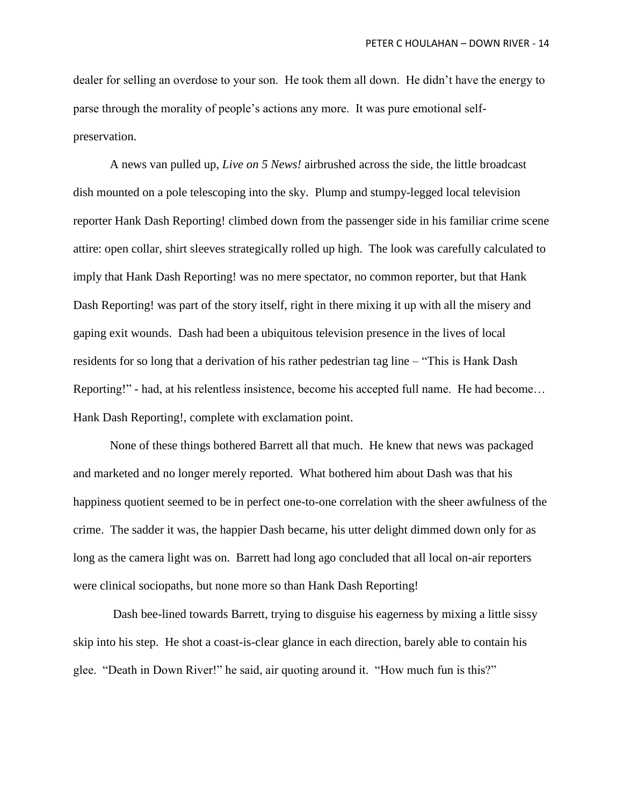dealer for selling an overdose to your son. He took them all down. He didn't have the energy to parse through the morality of people's actions any more. It was pure emotional selfpreservation.

A news van pulled up, *Live on 5 News!* airbrushed across the side, the little broadcast dish mounted on a pole telescoping into the sky. Plump and stumpy-legged local television reporter Hank Dash Reporting! climbed down from the passenger side in his familiar crime scene attire: open collar, shirt sleeves strategically rolled up high. The look was carefully calculated to imply that Hank Dash Reporting! was no mere spectator, no common reporter, but that Hank Dash Reporting! was part of the story itself, right in there mixing it up with all the misery and gaping exit wounds. Dash had been a ubiquitous television presence in the lives of local residents for so long that a derivation of his rather pedestrian tag line – "This is Hank Dash Reporting!" - had, at his relentless insistence, become his accepted full name. He had become… Hank Dash Reporting!, complete with exclamation point.

None of these things bothered Barrett all that much. He knew that news was packaged and marketed and no longer merely reported. What bothered him about Dash was that his happiness quotient seemed to be in perfect one-to-one correlation with the sheer awfulness of the crime. The sadder it was, the happier Dash became, his utter delight dimmed down only for as long as the camera light was on. Barrett had long ago concluded that all local on-air reporters were clinical sociopaths, but none more so than Hank Dash Reporting!

Dash bee-lined towards Barrett, trying to disguise his eagerness by mixing a little sissy skip into his step. He shot a coast-is-clear glance in each direction, barely able to contain his glee. "Death in Down River!" he said, air quoting around it. "How much fun is this?"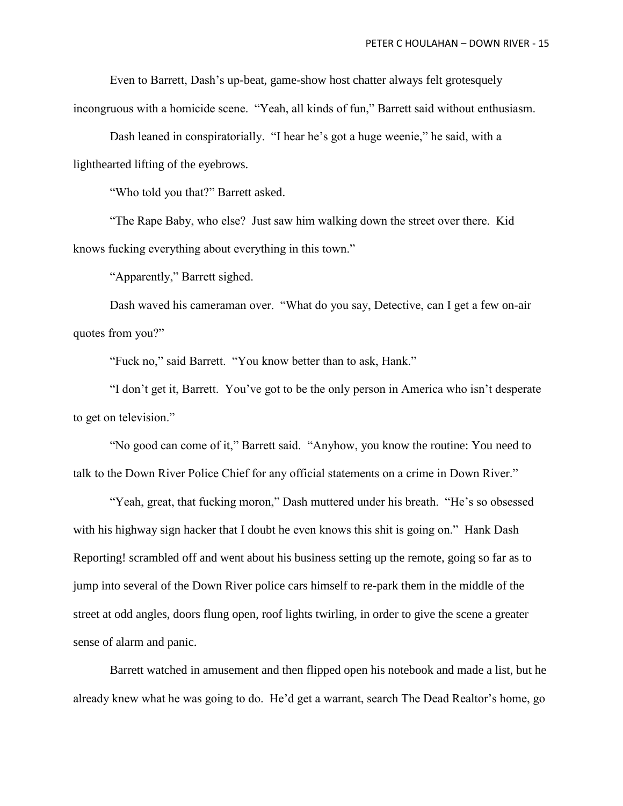Even to Barrett, Dash's up-beat, game-show host chatter always felt grotesquely incongruous with a homicide scene. "Yeah, all kinds of fun," Barrett said without enthusiasm.

Dash leaned in conspiratorially. "I hear he's got a huge weenie," he said, with a lighthearted lifting of the eyebrows.

"Who told you that?" Barrett asked.

"The Rape Baby, who else? Just saw him walking down the street over there. Kid knows fucking everything about everything in this town."

"Apparently," Barrett sighed.

Dash waved his cameraman over. "What do you say, Detective, can I get a few on-air quotes from you?"

"Fuck no," said Barrett. "You know better than to ask, Hank."

"I don't get it, Barrett. You've got to be the only person in America who isn't desperate to get on television."

"No good can come of it," Barrett said. "Anyhow, you know the routine: You need to talk to the Down River Police Chief for any official statements on a crime in Down River."

"Yeah, great, that fucking moron," Dash muttered under his breath. "He's so obsessed with his highway sign hacker that I doubt he even knows this shit is going on." Hank Dash Reporting! scrambled off and went about his business setting up the remote, going so far as to jump into several of the Down River police cars himself to re-park them in the middle of the street at odd angles, doors flung open, roof lights twirling, in order to give the scene a greater sense of alarm and panic.

Barrett watched in amusement and then flipped open his notebook and made a list, but he already knew what he was going to do. He'd get a warrant, search The Dead Realtor's home, go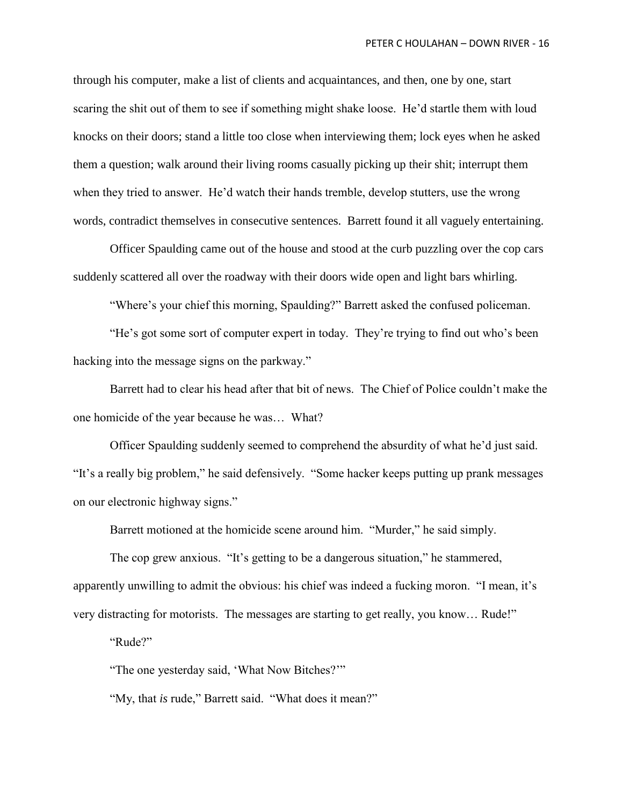through his computer, make a list of clients and acquaintances, and then, one by one, start scaring the shit out of them to see if something might shake loose. He'd startle them with loud knocks on their doors; stand a little too close when interviewing them; lock eyes when he asked them a question; walk around their living rooms casually picking up their shit; interrupt them when they tried to answer. He'd watch their hands tremble, develop stutters, use the wrong words, contradict themselves in consecutive sentences. Barrett found it all vaguely entertaining.

Officer Spaulding came out of the house and stood at the curb puzzling over the cop cars suddenly scattered all over the roadway with their doors wide open and light bars whirling.

"Where's your chief this morning, Spaulding?" Barrett asked the confused policeman.

"He's got some sort of computer expert in today. They're trying to find out who's been hacking into the message signs on the parkway."

Barrett had to clear his head after that bit of news. The Chief of Police couldn't make the one homicide of the year because he was… What?

Officer Spaulding suddenly seemed to comprehend the absurdity of what he'd just said. "It's a really big problem," he said defensively. "Some hacker keeps putting up prank messages on our electronic highway signs."

Barrett motioned at the homicide scene around him. "Murder," he said simply.

The cop grew anxious. "It's getting to be a dangerous situation," he stammered, apparently unwilling to admit the obvious: his chief was indeed a fucking moron. "I mean, it's very distracting for motorists. The messages are starting to get really, you know… Rude!"

"Rude?"

"The one yesterday said, 'What Now Bitches?'"

"My, that *is* rude," Barrett said. "What does it mean?"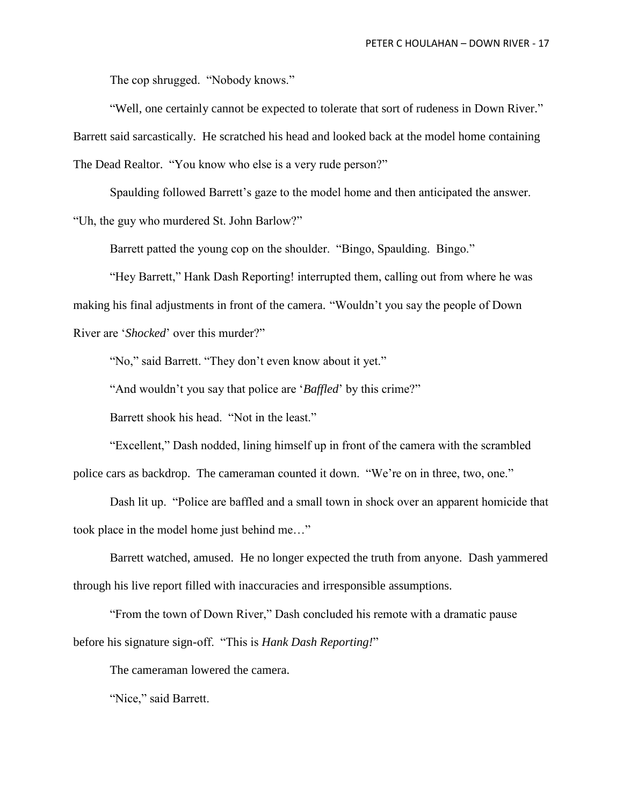The cop shrugged. "Nobody knows."

"Well, one certainly cannot be expected to tolerate that sort of rudeness in Down River." Barrett said sarcastically. He scratched his head and looked back at the model home containing The Dead Realtor. "You know who else is a very rude person?"

Spaulding followed Barrett's gaze to the model home and then anticipated the answer. "Uh, the guy who murdered St. John Barlow?"

Barrett patted the young cop on the shoulder. "Bingo, Spaulding. Bingo."

"Hey Barrett," Hank Dash Reporting! interrupted them, calling out from where he was making his final adjustments in front of the camera. "Wouldn't you say the people of Down River are '*Shocked*' over this murder?"

"No," said Barrett. "They don't even know about it yet."

"And wouldn't you say that police are '*Baffled*' by this crime?"

Barrett shook his head. "Not in the least."

"Excellent," Dash nodded, lining himself up in front of the camera with the scrambled police cars as backdrop. The cameraman counted it down. "We're on in three, two, one."

Dash lit up. "Police are baffled and a small town in shock over an apparent homicide that took place in the model home just behind me…"

Barrett watched, amused. He no longer expected the truth from anyone. Dash yammered through his live report filled with inaccuracies and irresponsible assumptions.

"From the town of Down River," Dash concluded his remote with a dramatic pause before his signature sign-off. "This is *Hank Dash Reporting!*"

The cameraman lowered the camera.

"Nice," said Barrett.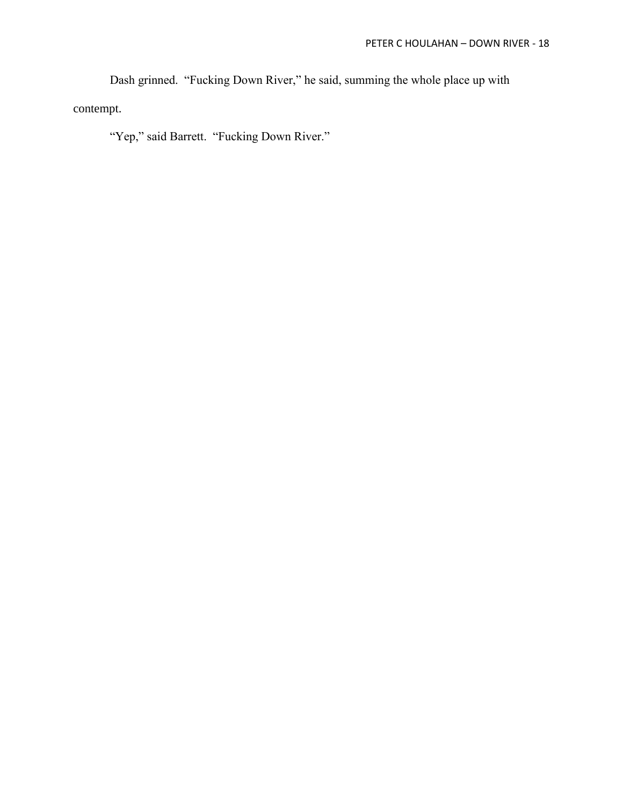Dash grinned. "Fucking Down River," he said, summing the whole place up with contempt.

"Yep," said Barrett. "Fucking Down River."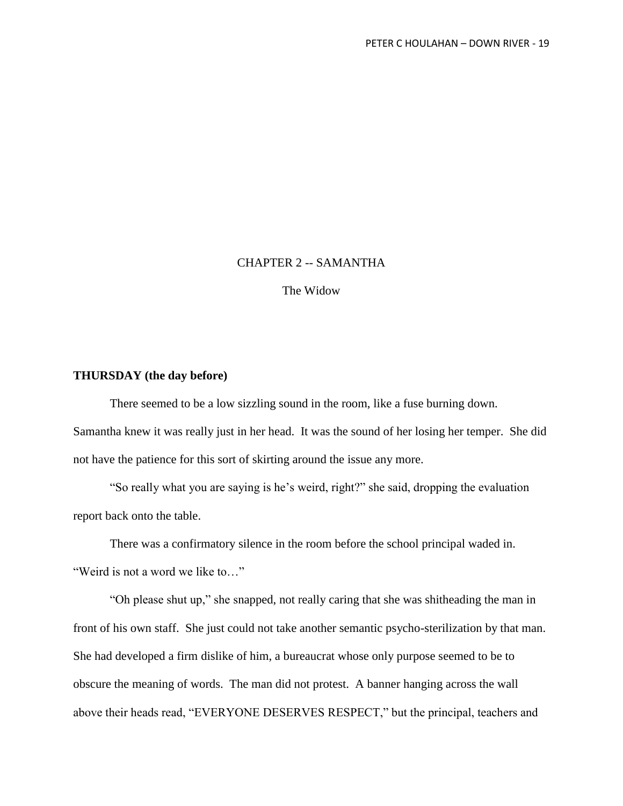## CHAPTER 2 -- SAMANTHA

The Widow

## **THURSDAY (the day before)**

There seemed to be a low sizzling sound in the room, like a fuse burning down. Samantha knew it was really just in her head. It was the sound of her losing her temper. She did not have the patience for this sort of skirting around the issue any more.

"So really what you are saying is he's weird, right?" she said, dropping the evaluation report back onto the table.

There was a confirmatory silence in the room before the school principal waded in. "Weird is not a word we like to…"

"Oh please shut up," she snapped, not really caring that she was shitheading the man in front of his own staff. She just could not take another semantic psycho-sterilization by that man. She had developed a firm dislike of him, a bureaucrat whose only purpose seemed to be to obscure the meaning of words. The man did not protest. A banner hanging across the wall above their heads read, "EVERYONE DESERVES RESPECT," but the principal, teachers and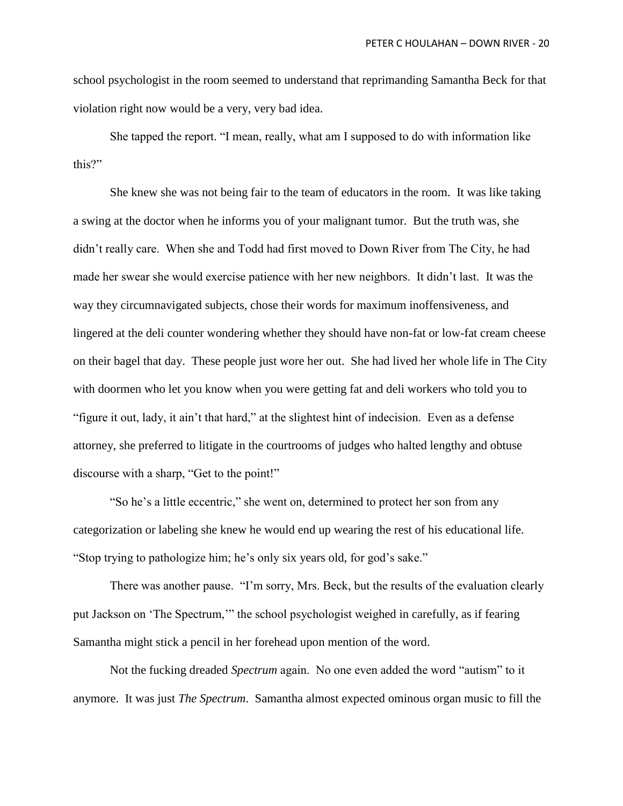school psychologist in the room seemed to understand that reprimanding Samantha Beck for that violation right now would be a very, very bad idea.

She tapped the report. "I mean, really, what am I supposed to do with information like this?"

She knew she was not being fair to the team of educators in the room. It was like taking a swing at the doctor when he informs you of your malignant tumor. But the truth was, she didn't really care. When she and Todd had first moved to Down River from The City, he had made her swear she would exercise patience with her new neighbors. It didn't last. It was the way they circumnavigated subjects, chose their words for maximum inoffensiveness, and lingered at the deli counter wondering whether they should have non-fat or low-fat cream cheese on their bagel that day. These people just wore her out. She had lived her whole life in The City with doormen who let you know when you were getting fat and deli workers who told you to "figure it out, lady, it ain't that hard," at the slightest hint of indecision. Even as a defense attorney, she preferred to litigate in the courtrooms of judges who halted lengthy and obtuse discourse with a sharp, "Get to the point!"

"So he's a little eccentric," she went on, determined to protect her son from any categorization or labeling she knew he would end up wearing the rest of his educational life. "Stop trying to pathologize him; he's only six years old, for god's sake."

There was another pause. "I'm sorry, Mrs. Beck, but the results of the evaluation clearly put Jackson on 'The Spectrum,'" the school psychologist weighed in carefully, as if fearing Samantha might stick a pencil in her forehead upon mention of the word.

Not the fucking dreaded *Spectrum* again. No one even added the word "autism" to it anymore. It was just *The Spectrum*. Samantha almost expected ominous organ music to fill the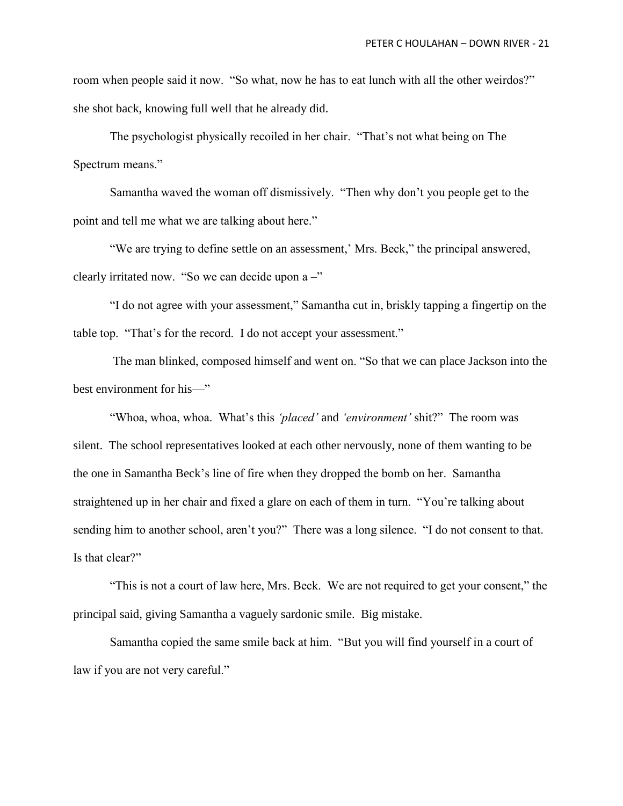room when people said it now. "So what, now he has to eat lunch with all the other weirdos?" she shot back, knowing full well that he already did.

The psychologist physically recoiled in her chair. "That's not what being on The Spectrum means."

Samantha waved the woman off dismissively. "Then why don't you people get to the point and tell me what we are talking about here."

"We are trying to define settle on an assessment,' Mrs. Beck," the principal answered, clearly irritated now. "So we can decide upon  $a -$ "

"I do not agree with your assessment," Samantha cut in, briskly tapping a fingertip on the table top. "That's for the record. I do not accept your assessment."

The man blinked, composed himself and went on. "So that we can place Jackson into the best environment for his—"

"Whoa, whoa, whoa. What's this *'placed'* and *'environment'* shit?" The room was silent. The school representatives looked at each other nervously, none of them wanting to be the one in Samantha Beck's line of fire when they dropped the bomb on her. Samantha straightened up in her chair and fixed a glare on each of them in turn. "You're talking about sending him to another school, aren't you?" There was a long silence. "I do not consent to that. Is that clear?"

"This is not a court of law here, Mrs. Beck. We are not required to get your consent," the principal said, giving Samantha a vaguely sardonic smile. Big mistake.

Samantha copied the same smile back at him. "But you will find yourself in a court of law if you are not very careful."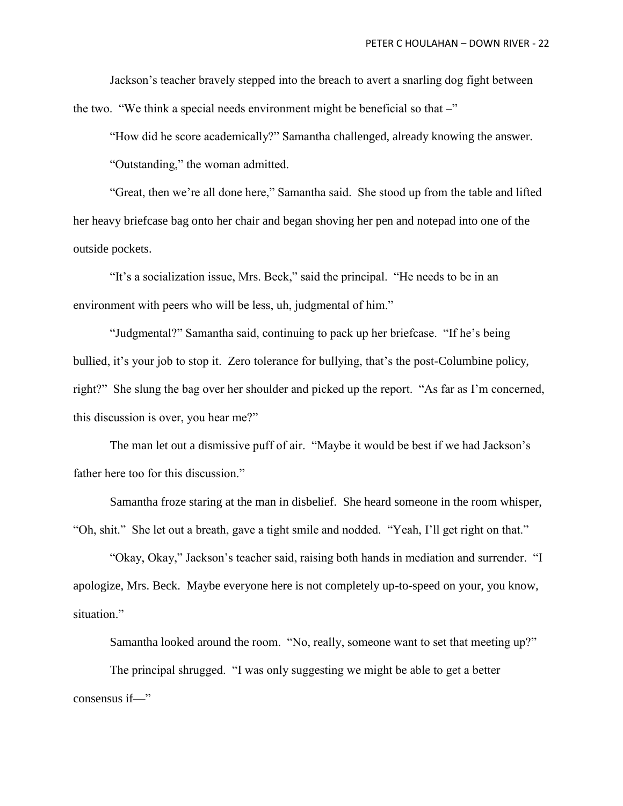Jackson's teacher bravely stepped into the breach to avert a snarling dog fight between the two. "We think a special needs environment might be beneficial so that  $-$ "

"How did he score academically?" Samantha challenged, already knowing the answer.

"Outstanding," the woman admitted.

"Great, then we're all done here," Samantha said. She stood up from the table and lifted her heavy briefcase bag onto her chair and began shoving her pen and notepad into one of the outside pockets.

"It's a socialization issue, Mrs. Beck," said the principal. "He needs to be in an environment with peers who will be less, uh, judgmental of him."

"Judgmental?" Samantha said, continuing to pack up her briefcase. "If he's being bullied, it's your job to stop it. Zero tolerance for bullying, that's the post-Columbine policy, right?" She slung the bag over her shoulder and picked up the report. "As far as I'm concerned, this discussion is over, you hear me?"

The man let out a dismissive puff of air. "Maybe it would be best if we had Jackson's father here too for this discussion."

Samantha froze staring at the man in disbelief. She heard someone in the room whisper, "Oh, shit." She let out a breath, gave a tight smile and nodded. "Yeah, I'll get right on that."

"Okay, Okay," Jackson's teacher said, raising both hands in mediation and surrender. "I apologize, Mrs. Beck. Maybe everyone here is not completely up-to-speed on your, you know, situation."

Samantha looked around the room. "No, really, someone want to set that meeting up?"

The principal shrugged. "I was only suggesting we might be able to get a better consensus if—"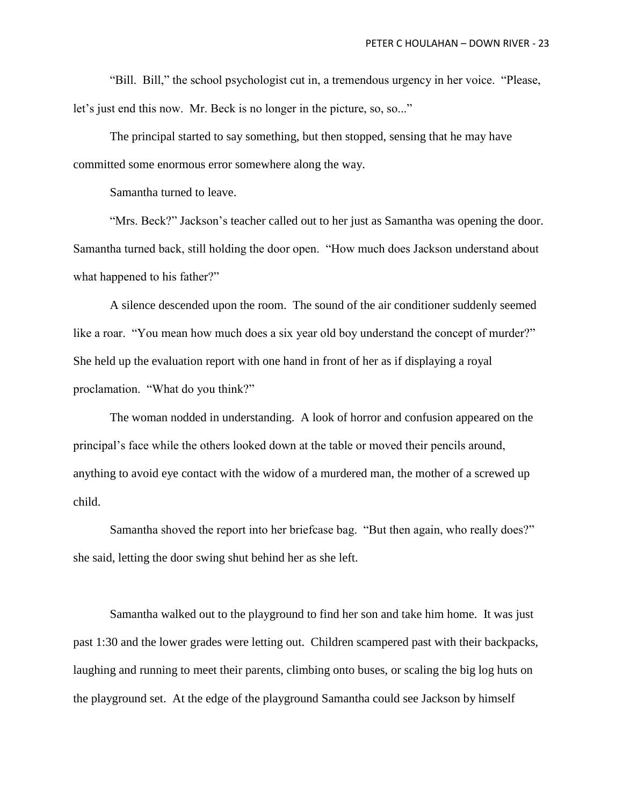"Bill. Bill," the school psychologist cut in, a tremendous urgency in her voice. "Please, let's just end this now. Mr. Beck is no longer in the picture, so, so..."

The principal started to say something, but then stopped, sensing that he may have committed some enormous error somewhere along the way.

Samantha turned to leave.

"Mrs. Beck?" Jackson's teacher called out to her just as Samantha was opening the door. Samantha turned back, still holding the door open. "How much does Jackson understand about what happened to his father?"

A silence descended upon the room. The sound of the air conditioner suddenly seemed like a roar. "You mean how much does a six year old boy understand the concept of murder?" She held up the evaluation report with one hand in front of her as if displaying a royal proclamation. "What do you think?"

The woman nodded in understanding. A look of horror and confusion appeared on the principal's face while the others looked down at the table or moved their pencils around, anything to avoid eye contact with the widow of a murdered man, the mother of a screwed up child.

Samantha shoved the report into her briefcase bag. "But then again, who really does?" she said, letting the door swing shut behind her as she left.

Samantha walked out to the playground to find her son and take him home. It was just past 1:30 and the lower grades were letting out. Children scampered past with their backpacks, laughing and running to meet their parents, climbing onto buses, or scaling the big log huts on the playground set. At the edge of the playground Samantha could see Jackson by himself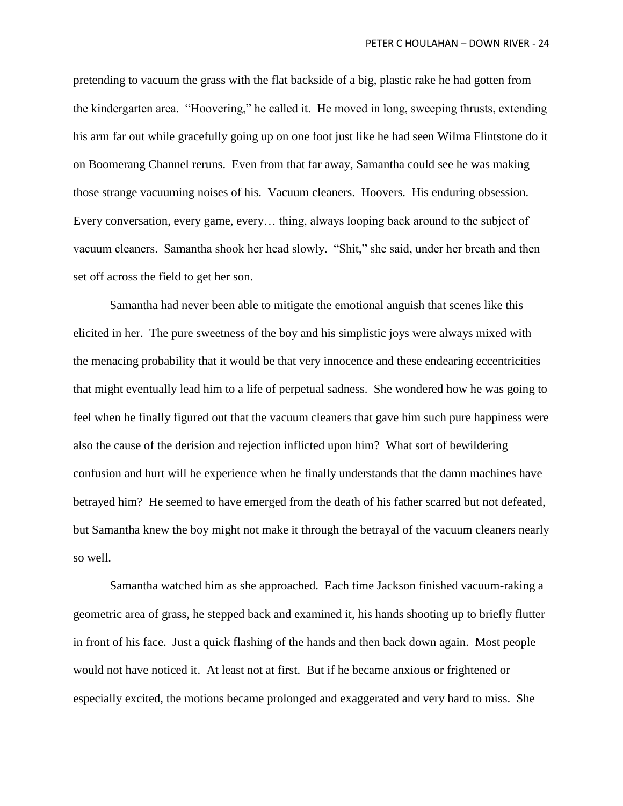pretending to vacuum the grass with the flat backside of a big, plastic rake he had gotten from the kindergarten area. "Hoovering," he called it. He moved in long, sweeping thrusts, extending his arm far out while gracefully going up on one foot just like he had seen Wilma Flintstone do it on Boomerang Channel reruns. Even from that far away, Samantha could see he was making those strange vacuuming noises of his. Vacuum cleaners. Hoovers. His enduring obsession. Every conversation, every game, every… thing, always looping back around to the subject of vacuum cleaners. Samantha shook her head slowly. "Shit," she said, under her breath and then set off across the field to get her son.

Samantha had never been able to mitigate the emotional anguish that scenes like this elicited in her. The pure sweetness of the boy and his simplistic joys were always mixed with the menacing probability that it would be that very innocence and these endearing eccentricities that might eventually lead him to a life of perpetual sadness. She wondered how he was going to feel when he finally figured out that the vacuum cleaners that gave him such pure happiness were also the cause of the derision and rejection inflicted upon him? What sort of bewildering confusion and hurt will he experience when he finally understands that the damn machines have betrayed him? He seemed to have emerged from the death of his father scarred but not defeated, but Samantha knew the boy might not make it through the betrayal of the vacuum cleaners nearly so well.

Samantha watched him as she approached. Each time Jackson finished vacuum-raking a geometric area of grass, he stepped back and examined it, his hands shooting up to briefly flutter in front of his face. Just a quick flashing of the hands and then back down again. Most people would not have noticed it. At least not at first. But if he became anxious or frightened or especially excited, the motions became prolonged and exaggerated and very hard to miss. She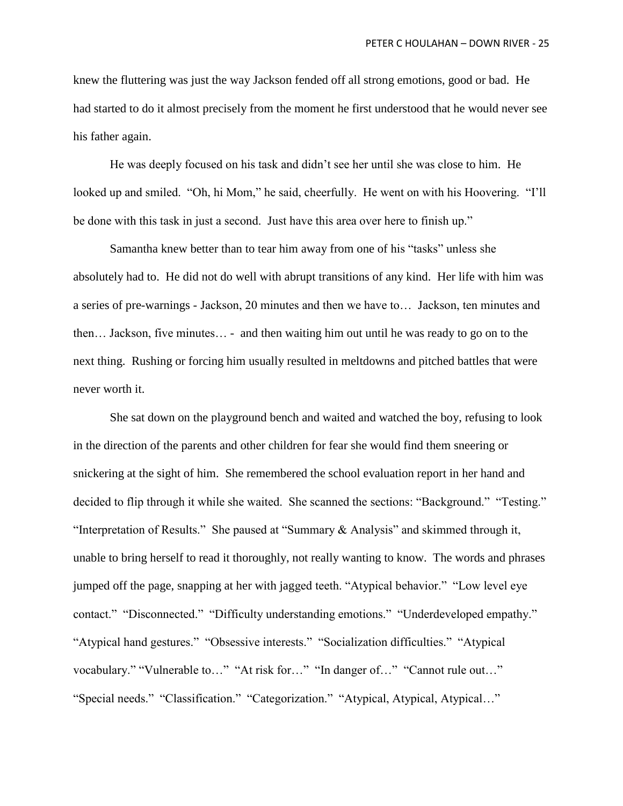knew the fluttering was just the way Jackson fended off all strong emotions, good or bad. He had started to do it almost precisely from the moment he first understood that he would never see his father again.

He was deeply focused on his task and didn't see her until she was close to him. He looked up and smiled. "Oh, hi Mom," he said, cheerfully. He went on with his Hoovering. "I'll be done with this task in just a second. Just have this area over here to finish up."

Samantha knew better than to tear him away from one of his "tasks" unless she absolutely had to. He did not do well with abrupt transitions of any kind. Her life with him was a series of pre-warnings - Jackson, 20 minutes and then we have to… Jackson, ten minutes and then… Jackson, five minutes… - and then waiting him out until he was ready to go on to the next thing. Rushing or forcing him usually resulted in meltdowns and pitched battles that were never worth it.

She sat down on the playground bench and waited and watched the boy, refusing to look in the direction of the parents and other children for fear she would find them sneering or snickering at the sight of him. She remembered the school evaluation report in her hand and decided to flip through it while she waited. She scanned the sections: "Background." "Testing." "Interpretation of Results." She paused at "Summary & Analysis" and skimmed through it, unable to bring herself to read it thoroughly, not really wanting to know. The words and phrases jumped off the page, snapping at her with jagged teeth. "Atypical behavior." "Low level eye contact." "Disconnected." "Difficulty understanding emotions." "Underdeveloped empathy." "Atypical hand gestures." "Obsessive interests." "Socialization difficulties." "Atypical vocabulary." "Vulnerable to…" "At risk for…" "In danger of…" "Cannot rule out…" "Special needs." "Classification." "Categorization." "Atypical, Atypical, Atypical…"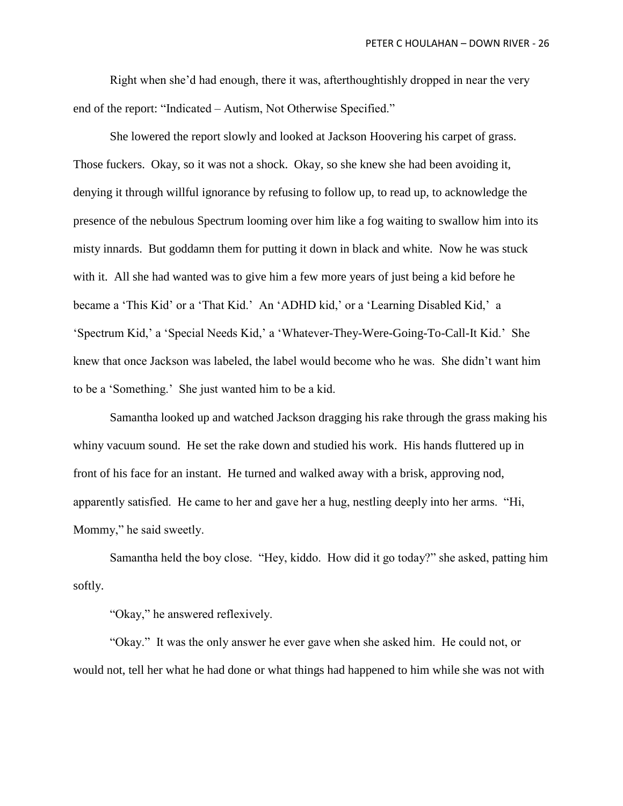Right when she'd had enough, there it was, afterthoughtishly dropped in near the very end of the report: "Indicated – Autism, Not Otherwise Specified."

She lowered the report slowly and looked at Jackson Hoovering his carpet of grass. Those fuckers. Okay, so it was not a shock. Okay, so she knew she had been avoiding it, denying it through willful ignorance by refusing to follow up, to read up, to acknowledge the presence of the nebulous Spectrum looming over him like a fog waiting to swallow him into its misty innards. But goddamn them for putting it down in black and white. Now he was stuck with it. All she had wanted was to give him a few more years of just being a kid before he became a 'This Kid' or a 'That Kid.' An 'ADHD kid,' or a 'Learning Disabled Kid,' a 'Spectrum Kid,' a 'Special Needs Kid,' a 'Whatever-They-Were-Going-To-Call-It Kid.' She knew that once Jackson was labeled, the label would become who he was. She didn't want him to be a 'Something.' She just wanted him to be a kid.

Samantha looked up and watched Jackson dragging his rake through the grass making his whiny vacuum sound. He set the rake down and studied his work. His hands fluttered up in front of his face for an instant. He turned and walked away with a brisk, approving nod, apparently satisfied. He came to her and gave her a hug, nestling deeply into her arms. "Hi, Mommy," he said sweetly.

Samantha held the boy close. "Hey, kiddo. How did it go today?" she asked, patting him softly.

"Okay," he answered reflexively.

"Okay." It was the only answer he ever gave when she asked him. He could not, or would not, tell her what he had done or what things had happened to him while she was not with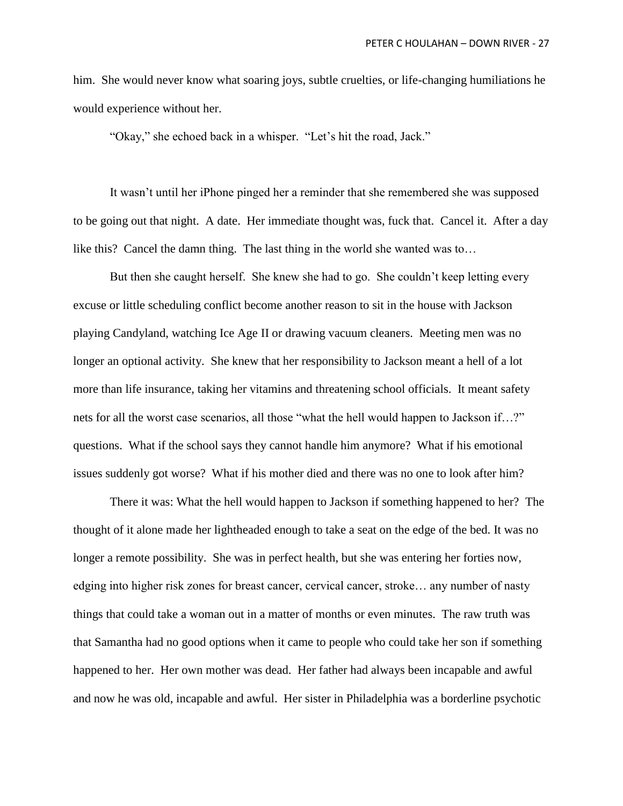him. She would never know what soaring joys, subtle cruelties, or life-changing humiliations he would experience without her.

"Okay," she echoed back in a whisper. "Let's hit the road, Jack."

It wasn't until her iPhone pinged her a reminder that she remembered she was supposed to be going out that night. A date. Her immediate thought was, fuck that. Cancel it. After a day like this? Cancel the damn thing. The last thing in the world she wanted was to…

But then she caught herself. She knew she had to go. She couldn't keep letting every excuse or little scheduling conflict become another reason to sit in the house with Jackson playing Candyland, watching Ice Age II or drawing vacuum cleaners. Meeting men was no longer an optional activity. She knew that her responsibility to Jackson meant a hell of a lot more than life insurance, taking her vitamins and threatening school officials. It meant safety nets for all the worst case scenarios, all those "what the hell would happen to Jackson if…?" questions. What if the school says they cannot handle him anymore? What if his emotional issues suddenly got worse? What if his mother died and there was no one to look after him?

There it was: What the hell would happen to Jackson if something happened to her? The thought of it alone made her lightheaded enough to take a seat on the edge of the bed. It was no longer a remote possibility. She was in perfect health, but she was entering her forties now, edging into higher risk zones for breast cancer, cervical cancer, stroke… any number of nasty things that could take a woman out in a matter of months or even minutes. The raw truth was that Samantha had no good options when it came to people who could take her son if something happened to her. Her own mother was dead. Her father had always been incapable and awful and now he was old, incapable and awful. Her sister in Philadelphia was a borderline psychotic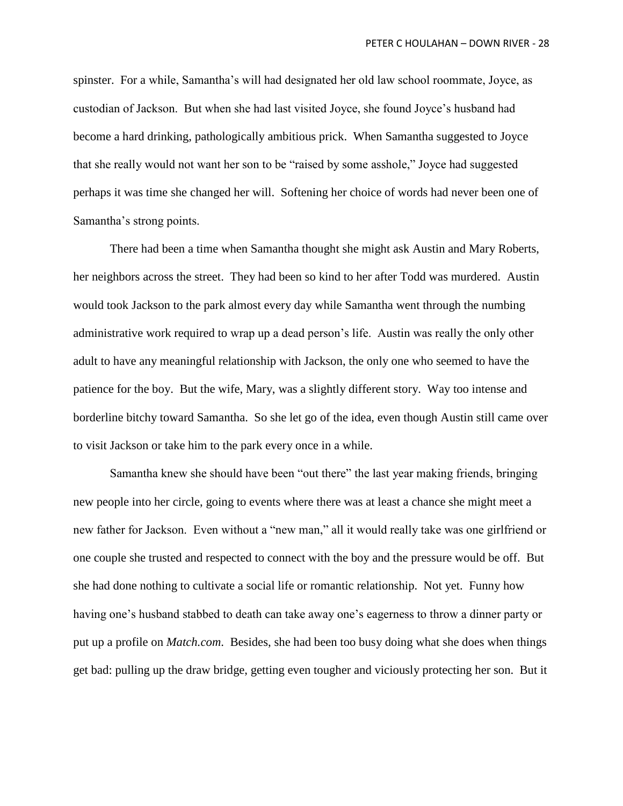spinster. For a while, Samantha's will had designated her old law school roommate, Joyce, as custodian of Jackson. But when she had last visited Joyce, she found Joyce's husband had become a hard drinking, pathologically ambitious prick. When Samantha suggested to Joyce that she really would not want her son to be "raised by some asshole," Joyce had suggested perhaps it was time she changed her will. Softening her choice of words had never been one of Samantha's strong points.

There had been a time when Samantha thought she might ask Austin and Mary Roberts, her neighbors across the street. They had been so kind to her after Todd was murdered. Austin would took Jackson to the park almost every day while Samantha went through the numbing administrative work required to wrap up a dead person's life. Austin was really the only other adult to have any meaningful relationship with Jackson, the only one who seemed to have the patience for the boy. But the wife, Mary, was a slightly different story. Way too intense and borderline bitchy toward Samantha. So she let go of the idea, even though Austin still came over to visit Jackson or take him to the park every once in a while.

Samantha knew she should have been "out there" the last year making friends, bringing new people into her circle, going to events where there was at least a chance she might meet a new father for Jackson. Even without a "new man," all it would really take was one girlfriend or one couple she trusted and respected to connect with the boy and the pressure would be off. But she had done nothing to cultivate a social life or romantic relationship. Not yet. Funny how having one's husband stabbed to death can take away one's eagerness to throw a dinner party or put up a profile on *Match.com*. Besides, she had been too busy doing what she does when things get bad: pulling up the draw bridge, getting even tougher and viciously protecting her son. But it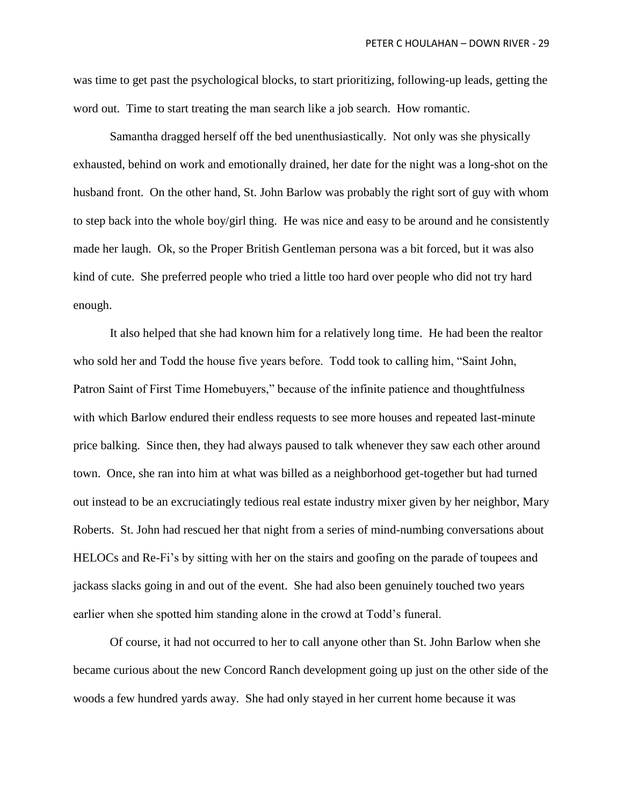was time to get past the psychological blocks, to start prioritizing, following-up leads, getting the word out. Time to start treating the man search like a job search. How romantic.

Samantha dragged herself off the bed unenthusiastically. Not only was she physically exhausted, behind on work and emotionally drained, her date for the night was a long-shot on the husband front. On the other hand, St. John Barlow was probably the right sort of guy with whom to step back into the whole boy/girl thing. He was nice and easy to be around and he consistently made her laugh. Ok, so the Proper British Gentleman persona was a bit forced, but it was also kind of cute. She preferred people who tried a little too hard over people who did not try hard enough.

It also helped that she had known him for a relatively long time. He had been the realtor who sold her and Todd the house five years before. Todd took to calling him, "Saint John, Patron Saint of First Time Homebuyers," because of the infinite patience and thoughtfulness with which Barlow endured their endless requests to see more houses and repeated last-minute price balking. Since then, they had always paused to talk whenever they saw each other around town. Once, she ran into him at what was billed as a neighborhood get-together but had turned out instead to be an excruciatingly tedious real estate industry mixer given by her neighbor, Mary Roberts. St. John had rescued her that night from a series of mind-numbing conversations about HELOCs and Re-Fi's by sitting with her on the stairs and goofing on the parade of toupees and jackass slacks going in and out of the event. She had also been genuinely touched two years earlier when she spotted him standing alone in the crowd at Todd's funeral.

Of course, it had not occurred to her to call anyone other than St. John Barlow when she became curious about the new Concord Ranch development going up just on the other side of the woods a few hundred yards away. She had only stayed in her current home because it was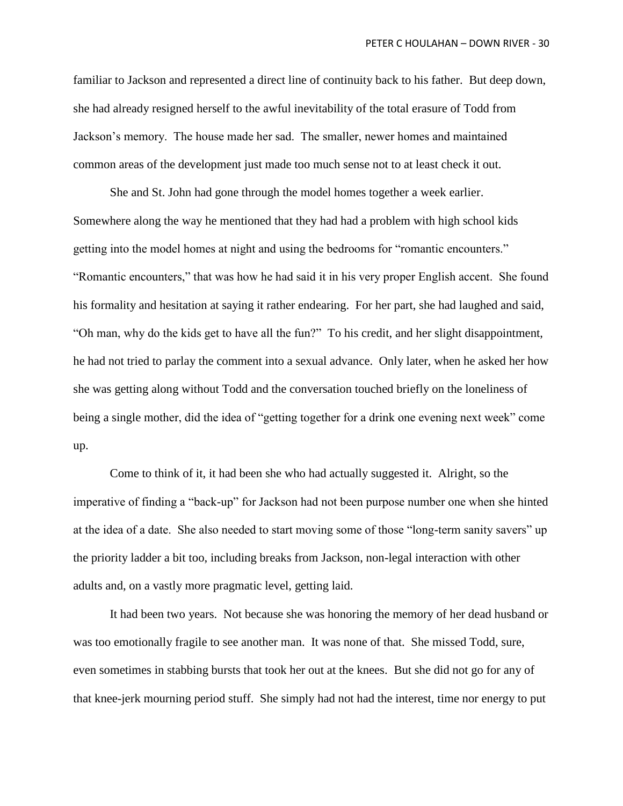familiar to Jackson and represented a direct line of continuity back to his father. But deep down, she had already resigned herself to the awful inevitability of the total erasure of Todd from Jackson's memory. The house made her sad. The smaller, newer homes and maintained common areas of the development just made too much sense not to at least check it out.

She and St. John had gone through the model homes together a week earlier. Somewhere along the way he mentioned that they had had a problem with high school kids getting into the model homes at night and using the bedrooms for "romantic encounters." "Romantic encounters," that was how he had said it in his very proper English accent. She found his formality and hesitation at saying it rather endearing. For her part, she had laughed and said, "Oh man, why do the kids get to have all the fun?" To his credit, and her slight disappointment, he had not tried to parlay the comment into a sexual advance. Only later, when he asked her how she was getting along without Todd and the conversation touched briefly on the loneliness of being a single mother, did the idea of "getting together for a drink one evening next week" come up.

Come to think of it, it had been she who had actually suggested it. Alright, so the imperative of finding a "back-up" for Jackson had not been purpose number one when she hinted at the idea of a date. She also needed to start moving some of those "long-term sanity savers" up the priority ladder a bit too, including breaks from Jackson, non-legal interaction with other adults and, on a vastly more pragmatic level, getting laid.

It had been two years. Not because she was honoring the memory of her dead husband or was too emotionally fragile to see another man. It was none of that. She missed Todd, sure, even sometimes in stabbing bursts that took her out at the knees. But she did not go for any of that knee-jerk mourning period stuff. She simply had not had the interest, time nor energy to put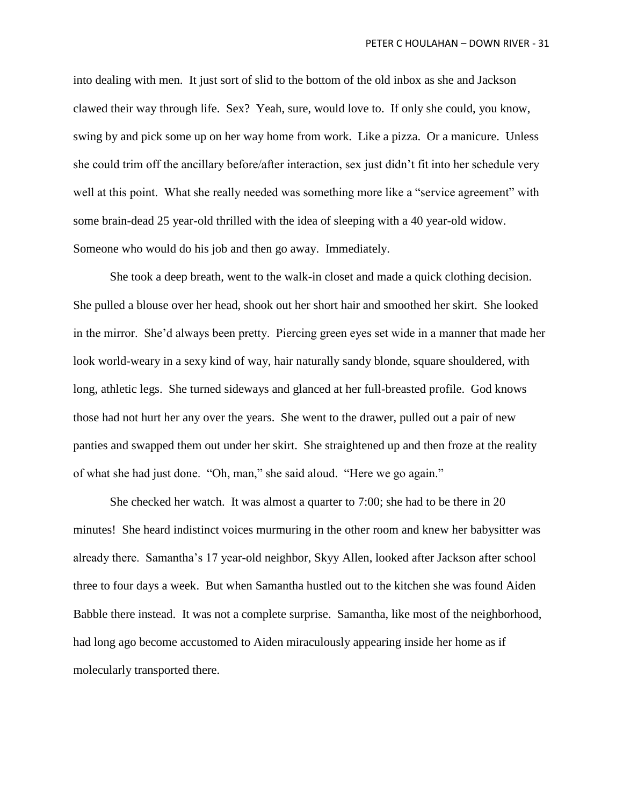into dealing with men. It just sort of slid to the bottom of the old inbox as she and Jackson clawed their way through life. Sex? Yeah, sure, would love to. If only she could, you know, swing by and pick some up on her way home from work. Like a pizza. Or a manicure. Unless she could trim off the ancillary before/after interaction, sex just didn't fit into her schedule very well at this point. What she really needed was something more like a "service agreement" with some brain-dead 25 year-old thrilled with the idea of sleeping with a 40 year-old widow. Someone who would do his job and then go away. Immediately.

She took a deep breath, went to the walk-in closet and made a quick clothing decision. She pulled a blouse over her head, shook out her short hair and smoothed her skirt. She looked in the mirror. She'd always been pretty. Piercing green eyes set wide in a manner that made her look world-weary in a sexy kind of way, hair naturally sandy blonde, square shouldered, with long, athletic legs. She turned sideways and glanced at her full-breasted profile. God knows those had not hurt her any over the years. She went to the drawer, pulled out a pair of new panties and swapped them out under her skirt. She straightened up and then froze at the reality of what she had just done. "Oh, man," she said aloud. "Here we go again."

She checked her watch. It was almost a quarter to 7:00; she had to be there in 20 minutes! She heard indistinct voices murmuring in the other room and knew her babysitter was already there. Samantha's 17 year-old neighbor, Skyy Allen, looked after Jackson after school three to four days a week. But when Samantha hustled out to the kitchen she was found Aiden Babble there instead. It was not a complete surprise. Samantha, like most of the neighborhood, had long ago become accustomed to Aiden miraculously appearing inside her home as if molecularly transported there.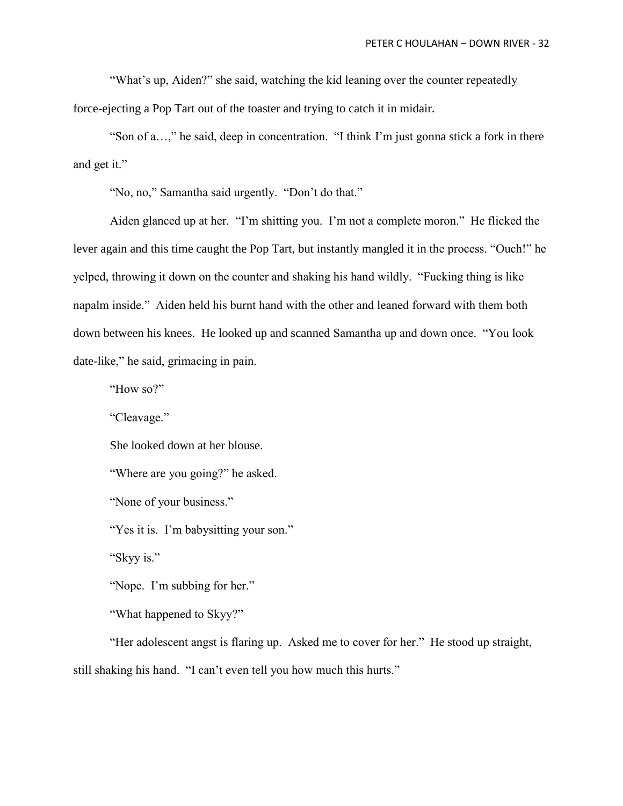"What's up, Aiden?" she said, watching the kid leaning over the counter repeatedly force-ejecting a Pop Tart out of the toaster and trying to catch it in midair.

"Son of a…," he said, deep in concentration. "I think I'm just gonna stick a fork in there and get it."

"No, no," Samantha said urgently. "Don't do that."

Aiden glanced up at her. "I'm shitting you. I'm not a complete moron." He flicked the lever again and this time caught the Pop Tart, but instantly mangled it in the process. "Ouch!" he yelped, throwing it down on the counter and shaking his hand wildly. "Fucking thing is like napalm inside." Aiden held his burnt hand with the other and leaned forward with them both down between his knees. He looked up and scanned Samantha up and down once. "You look date-like," he said, grimacing in pain.

"How so?"

"Cleavage."

She looked down at her blouse.

"Where are you going?" he asked.

"None of your business."

"Yes it is. I'm babysitting your son."

"Skyy is."

"Nope. I'm subbing for her."

"What happened to Skyy?"

"Her adolescent angst is flaring up. Asked me to cover for her." He stood up straight, still shaking his hand. "I can't even tell you how much this hurts."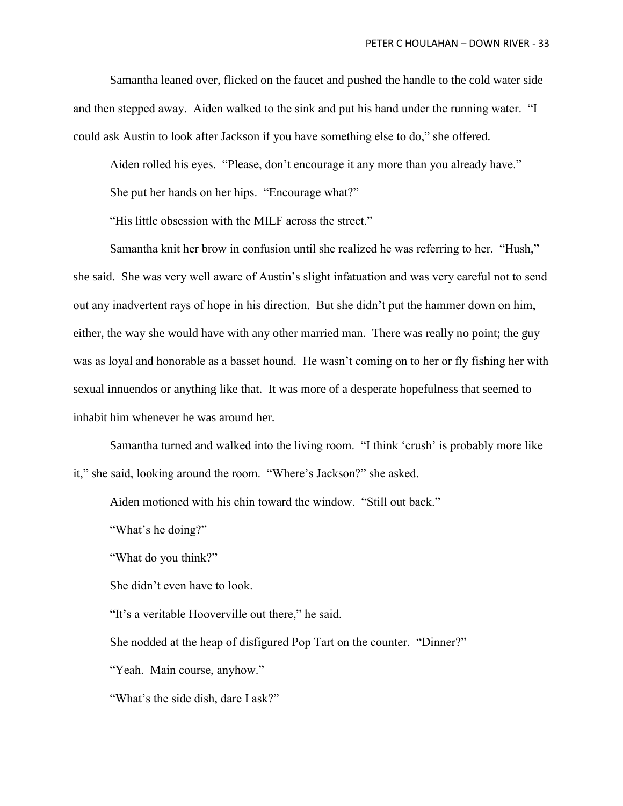Samantha leaned over, flicked on the faucet and pushed the handle to the cold water side and then stepped away. Aiden walked to the sink and put his hand under the running water. "I could ask Austin to look after Jackson if you have something else to do," she offered.

Aiden rolled his eyes. "Please, don't encourage it any more than you already have."

She put her hands on her hips. "Encourage what?"

"His little obsession with the MILF across the street."

Samantha knit her brow in confusion until she realized he was referring to her. "Hush," she said. She was very well aware of Austin's slight infatuation and was very careful not to send out any inadvertent rays of hope in his direction. But she didn't put the hammer down on him, either, the way she would have with any other married man. There was really no point; the guy was as loyal and honorable as a basset hound. He wasn't coming on to her or fly fishing her with sexual innuendos or anything like that. It was more of a desperate hopefulness that seemed to inhabit him whenever he was around her.

Samantha turned and walked into the living room. "I think 'crush' is probably more like it," she said, looking around the room. "Where's Jackson?" she asked.

Aiden motioned with his chin toward the window. "Still out back."

"What's he doing?"

"What do you think?"

She didn't even have to look.

"It's a veritable Hooverville out there," he said.

She nodded at the heap of disfigured Pop Tart on the counter. "Dinner?"

"Yeah. Main course, anyhow."

"What's the side dish, dare I ask?"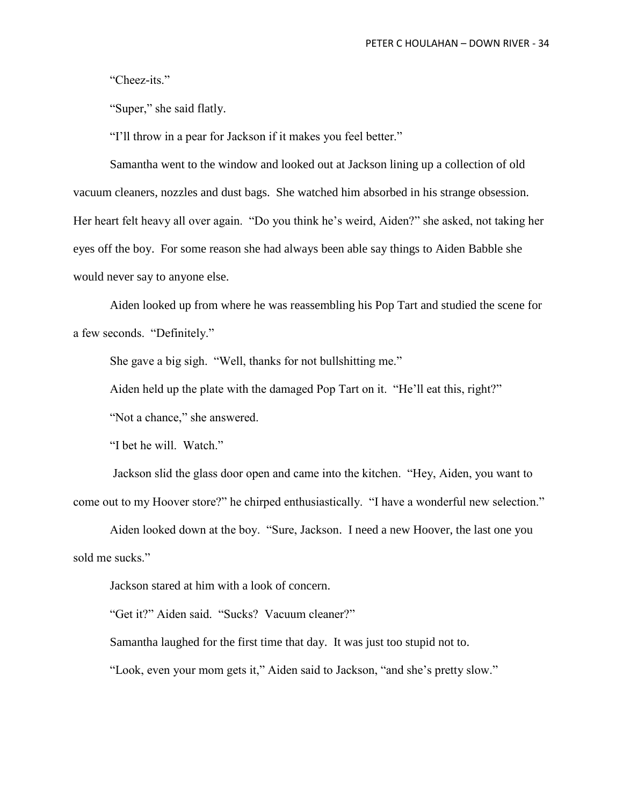"Cheez-its."

"Super," she said flatly.

"I'll throw in a pear for Jackson if it makes you feel better."

Samantha went to the window and looked out at Jackson lining up a collection of old vacuum cleaners, nozzles and dust bags. She watched him absorbed in his strange obsession. Her heart felt heavy all over again. "Do you think he's weird, Aiden?" she asked, not taking her eyes off the boy. For some reason she had always been able say things to Aiden Babble she would never say to anyone else.

Aiden looked up from where he was reassembling his Pop Tart and studied the scene for a few seconds. "Definitely."

She gave a big sigh. "Well, thanks for not bullshitting me."

Aiden held up the plate with the damaged Pop Tart on it. "He'll eat this, right?"

"Not a chance," she answered.

"I bet he will. Watch."

Jackson slid the glass door open and came into the kitchen. "Hey, Aiden, you want to come out to my Hoover store?" he chirped enthusiastically. "I have a wonderful new selection."

Aiden looked down at the boy. "Sure, Jackson. I need a new Hoover, the last one you sold me sucks."

Jackson stared at him with a look of concern.

"Get it?" Aiden said. "Sucks? Vacuum cleaner?"

Samantha laughed for the first time that day. It was just too stupid not to.

"Look, even your mom gets it," Aiden said to Jackson, "and she's pretty slow."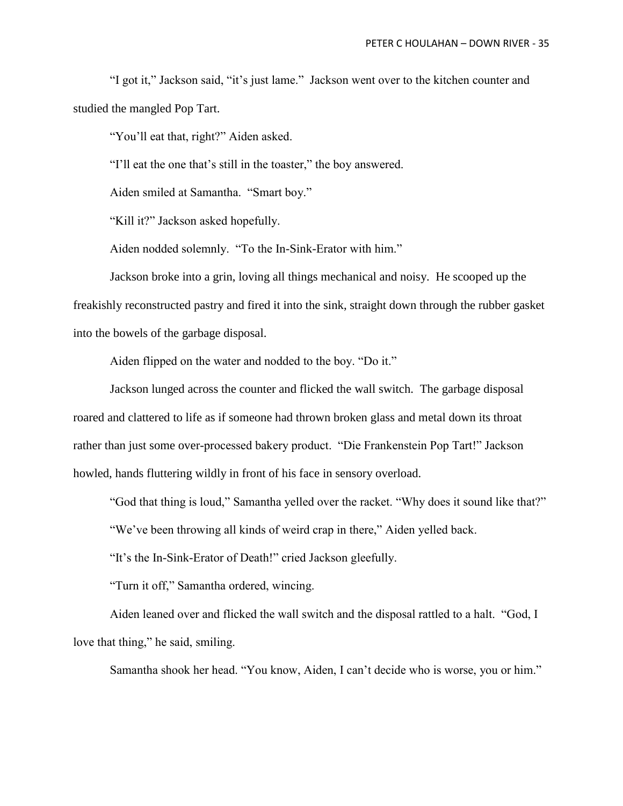"I got it," Jackson said, "it's just lame." Jackson went over to the kitchen counter and studied the mangled Pop Tart.

"You'll eat that, right?" Aiden asked.

"I'll eat the one that's still in the toaster," the boy answered.

Aiden smiled at Samantha. "Smart boy."

"Kill it?" Jackson asked hopefully.

Aiden nodded solemnly. "To the In-Sink-Erator with him."

Jackson broke into a grin, loving all things mechanical and noisy. He scooped up the freakishly reconstructed pastry and fired it into the sink, straight down through the rubber gasket into the bowels of the garbage disposal.

Aiden flipped on the water and nodded to the boy. "Do it."

Jackson lunged across the counter and flicked the wall switch. The garbage disposal roared and clattered to life as if someone had thrown broken glass and metal down its throat rather than just some over-processed bakery product. "Die Frankenstein Pop Tart!" Jackson howled, hands fluttering wildly in front of his face in sensory overload.

"God that thing is loud," Samantha yelled over the racket. "Why does it sound like that?"

"We've been throwing all kinds of weird crap in there," Aiden yelled back.

"It's the In-Sink-Erator of Death!" cried Jackson gleefully.

"Turn it off," Samantha ordered, wincing.

Aiden leaned over and flicked the wall switch and the disposal rattled to a halt. "God, I love that thing," he said, smiling.

Samantha shook her head. "You know, Aiden, I can't decide who is worse, you or him."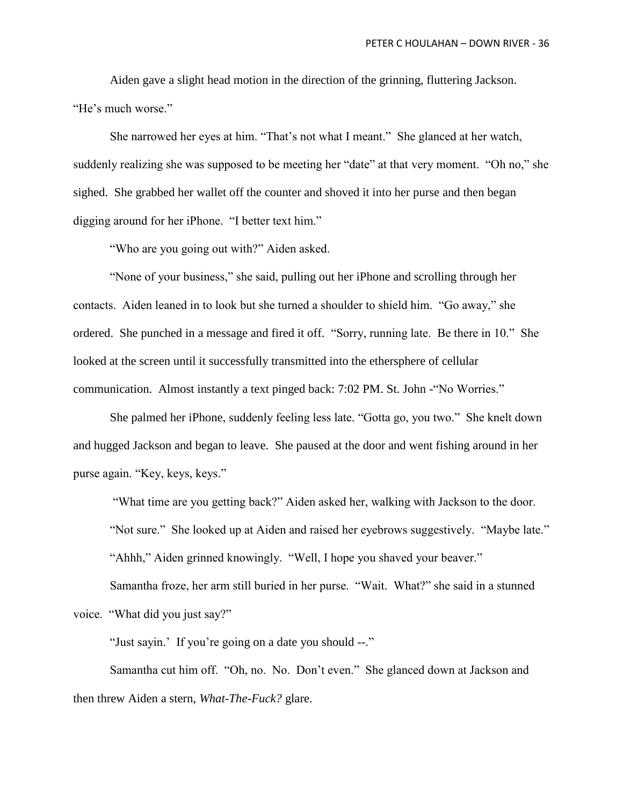Aiden gave a slight head motion in the direction of the grinning, fluttering Jackson. "He's much worse."

She narrowed her eyes at him. "That's not what I meant." She glanced at her watch, suddenly realizing she was supposed to be meeting her "date" at that very moment. "Oh no," she sighed. She grabbed her wallet off the counter and shoved it into her purse and then began digging around for her iPhone. "I better text him."

"Who are you going out with?" Aiden asked.

"None of your business," she said, pulling out her iPhone and scrolling through her contacts. Aiden leaned in to look but she turned a shoulder to shield him. "Go away," she ordered. She punched in a message and fired it off. "Sorry, running late. Be there in 10." She looked at the screen until it successfully transmitted into the ethersphere of cellular communication. Almost instantly a text pinged back: 7:02 PM. St. John -"No Worries."

She palmed her iPhone, suddenly feeling less late. "Gotta go, you two." She knelt down and hugged Jackson and began to leave. She paused at the door and went fishing around in her purse again. "Key, keys, keys."

"What time are you getting back?" Aiden asked her, walking with Jackson to the door.

"Not sure." She looked up at Aiden and raised her eyebrows suggestively. "Maybe late."

"Ahhh," Aiden grinned knowingly. "Well, I hope you shaved your beaver."

Samantha froze, her arm still buried in her purse. "Wait. What?" she said in a stunned voice. "What did you just say?"

"Just sayin.' If you're going on a date you should --."

Samantha cut him off. "Oh, no. No. Don't even." She glanced down at Jackson and then threw Aiden a stern, *What-The-Fuck?* glare.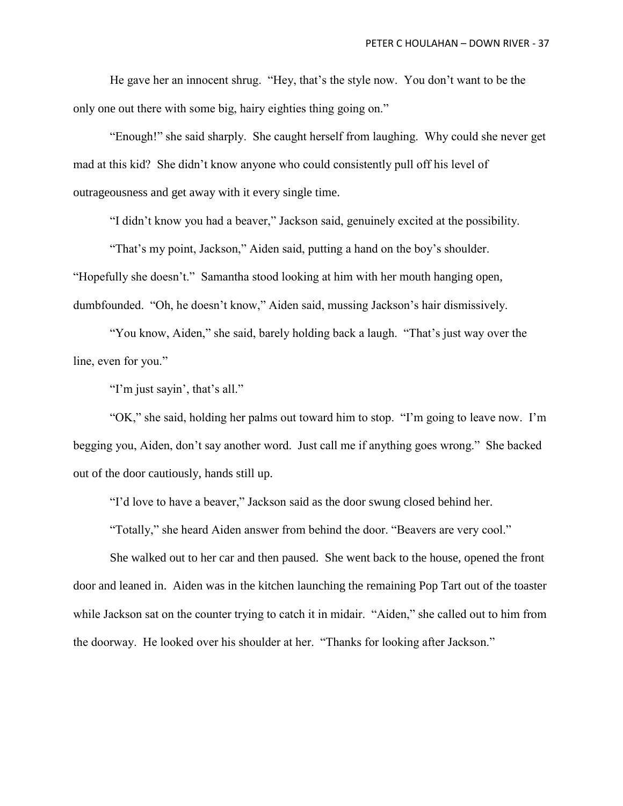He gave her an innocent shrug. "Hey, that's the style now. You don't want to be the only one out there with some big, hairy eighties thing going on."

"Enough!" she said sharply. She caught herself from laughing. Why could she never get mad at this kid? She didn't know anyone who could consistently pull off his level of outrageousness and get away with it every single time.

"I didn't know you had a beaver," Jackson said, genuinely excited at the possibility.

"That's my point, Jackson," Aiden said, putting a hand on the boy's shoulder.

"Hopefully she doesn't." Samantha stood looking at him with her mouth hanging open, dumbfounded. "Oh, he doesn't know," Aiden said, mussing Jackson's hair dismissively.

"You know, Aiden," she said, barely holding back a laugh. "That's just way over the line, even for you."

"I'm just sayin', that's all."

"OK," she said, holding her palms out toward him to stop. "I'm going to leave now. I'm begging you, Aiden, don't say another word. Just call me if anything goes wrong." She backed out of the door cautiously, hands still up.

"I'd love to have a beaver," Jackson said as the door swung closed behind her.

"Totally," she heard Aiden answer from behind the door. "Beavers are very cool."

She walked out to her car and then paused. She went back to the house, opened the front door and leaned in. Aiden was in the kitchen launching the remaining Pop Tart out of the toaster while Jackson sat on the counter trying to catch it in midair. "Aiden," she called out to him from the doorway. He looked over his shoulder at her. "Thanks for looking after Jackson."